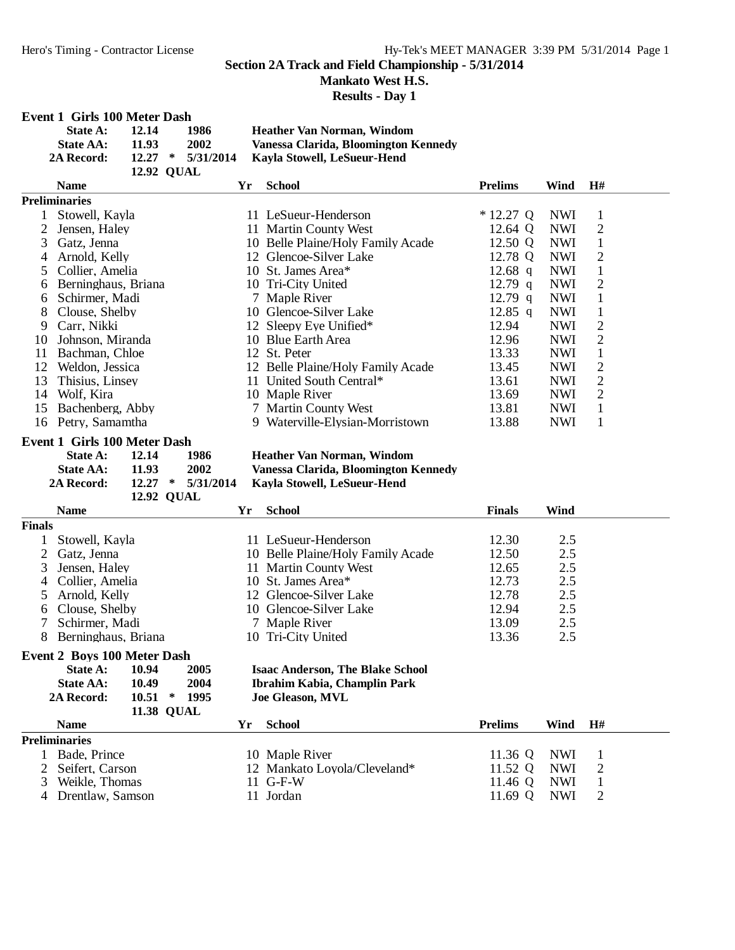# **Mankato West H.S.**

### **Results - Day 1**

### **Event 1 Girls 100 Meter Dash**

| <b>State A:</b>  | 12.14             | 1986                | <b>Heather Van Norman, Windom</b>    |
|------------------|-------------------|---------------------|--------------------------------------|
| <b>State AA:</b> | 11.93             | 2002                | Vanessa Clarida, Bloomington Kennedy |
| 2A Record:       |                   | $12.27 * 5/31/2014$ | Kayla Stowell, LeSueur-Hend          |
|                  | <b>12.92 OUAL</b> |                     |                                      |

|    | <b>Name</b>          | Yr           | <b>School</b>                         | <b>Prelims</b> | Wind       | H#             |  |
|----|----------------------|--------------|---------------------------------------|----------------|------------|----------------|--|
|    | <b>Preliminaries</b> |              |                                       |                |            |                |  |
|    | Stowell, Kayla       |              | 11 LeSueur-Henderson                  | $*12.27Q$      | <b>NWI</b> | 1              |  |
|    | Jensen, Haley        | 11           | <b>Martin County West</b>             | 12.64 Q        | <b>NWI</b> | 2              |  |
| 3  | Gatz, Jenna          | 10.          | <b>Belle Plaine/Holy Family Acade</b> | 12.50 Q        | <b>NWI</b> |                |  |
|    | Arnold, Kelly        | 12           | Glencoe-Silver Lake                   | 12.78 Q        | <b>NWI</b> | 2              |  |
|    | Collier, Amelia      |              | 10 St. James Area*                    | $12.68$ q      | <b>NWI</b> |                |  |
|    | Berninghaus, Briana  |              | 10 Tri-City United                    | $12.79$ q      | <b>NWI</b> | $\overline{2}$ |  |
| 6  | Schirmer, Madi       |              | 7 Maple River                         | $12.79$ q      | <b>NWI</b> |                |  |
| 8. | Clouse, Shelby       |              | 10 Glencoe-Silver Lake                | $12.85$ q      | <b>NWI</b> |                |  |
| 9. | Carr, Nikki          |              | 12 Sleepy Eye Unified*                | 12.94          | <b>NWI</b> | 2              |  |
| 10 | Johnson, Miranda     | $10^{\circ}$ | <b>Blue Earth Area</b>                | 12.96          | <b>NWI</b> | 2              |  |
| 11 | Bachman, Chloe       |              | 12 St. Peter                          | 13.33          | <b>NWI</b> |                |  |
| 12 | Weldon, Jessica      |              | 12 Belle Plaine/Holy Family Acade     | 13.45          | <b>NWI</b> | 2              |  |
| 13 | Thisius, Linsey      | 11.          | United South Central*                 | 13.61          | <b>NWI</b> | 2              |  |
| 14 | Wolf, Kira           |              | 10 Maple River                        | 13.69          | <b>NWI</b> | 2              |  |
| 15 | Bachenberg, Abby     |              | <b>Martin County West</b>             | 13.81          | <b>NWI</b> |                |  |
| 16 | Petry, Samamtha      |              | Waterville-Elysian-Morristown         | 13.88          | <b>NWI</b> |                |  |

# **Event 1 Girls 100 Meter Dash**<br>State A: 12.14 1986

| State A:         | 14.14             | -1980         |  |
|------------------|-------------------|---------------|--|
| <b>State AA:</b> | 11.93             | 2002          |  |
| <b>\ Record:</b> | 12.27             | $*$ 5/31/2014 |  |
|                  | <b>12.92 OUAL</b> |               |  |

**Heather Van Norman, Windom State AA: 11.93 2002 Vanessa Clarida, Bloomington Kennedy 2A Record: 12.27 \* 5/31/2014 Kayla Stowell, LeSueur-Hend**

|               | <b>Name</b>                           | Yr | <b>School</b>                           | <b>Finals</b>  | Wind       |                |
|---------------|---------------------------------------|----|-----------------------------------------|----------------|------------|----------------|
| <b>Finals</b> |                                       |    |                                         |                |            |                |
|               | Stowell, Kayla                        |    | 11 LeSueur-Henderson                    | 12.30          | 2.5        |                |
|               | Gatz, Jenna                           |    | 10 Belle Plaine/Holy Family Acade       | 12.50          | 2.5        |                |
| 3             | Jensen, Haley                         |    | 11 Martin County West                   | 12.65          | 2.5        |                |
|               | Collier, Amelia                       |    | 10 St. James Area*                      | 12.73          | 2.5        |                |
| 5             | Arnold, Kelly                         |    | 12 Glencoe-Silver Lake                  | 12.78          | 2.5        |                |
| 6             | Clouse, Shelby                        |    | 10 Glencoe-Silver Lake                  | 12.94          | 2.5        |                |
|               | Schirmer, Madi                        |    | 7 Maple River                           | 13.09          | 2.5        |                |
| 8             | Berninghaus, Briana                   |    | 10 Tri-City United                      | 13.36          | 2.5        |                |
|               | <b>Event 2 Boys 100 Meter Dash</b>    |    |                                         |                |            |                |
|               | <b>State A:</b><br>10.94<br>2005      |    | <b>Isaac Anderson, The Blake School</b> |                |            |                |
|               | 2004<br><b>State AA:</b><br>10.49     |    | Ibrahim Kabia, Champlin Park            |                |            |                |
|               | 2A Record:<br>10.51<br>1995<br>$\ast$ |    | <b>Joe Gleason, MVL</b>                 |                |            |                |
|               | <b>11.38 QUAL</b>                     |    |                                         |                |            |                |
|               | <b>Name</b>                           | Yr | <b>School</b>                           | <b>Prelims</b> | Wind       | H#             |
|               | <b>Preliminaries</b>                  |    |                                         |                |            |                |
|               | Bade, Prince                          |    | 10 Maple River                          | 11.36 Q        | <b>NWI</b> | 1              |
|               | Seifert, Carson                       |    | 12 Mankato Loyola/Cleveland*            | 11.52 Q        | <b>NWI</b> | $\overline{2}$ |
| 3             | Weikle, Thomas                        |    | $11$ G-F-W                              | 11.46 Q        | <b>NWI</b> |                |
| 4             | Drentlaw, Samson                      |    | 11 Jordan                               | 11.69 Q        | <b>NWI</b> | 2              |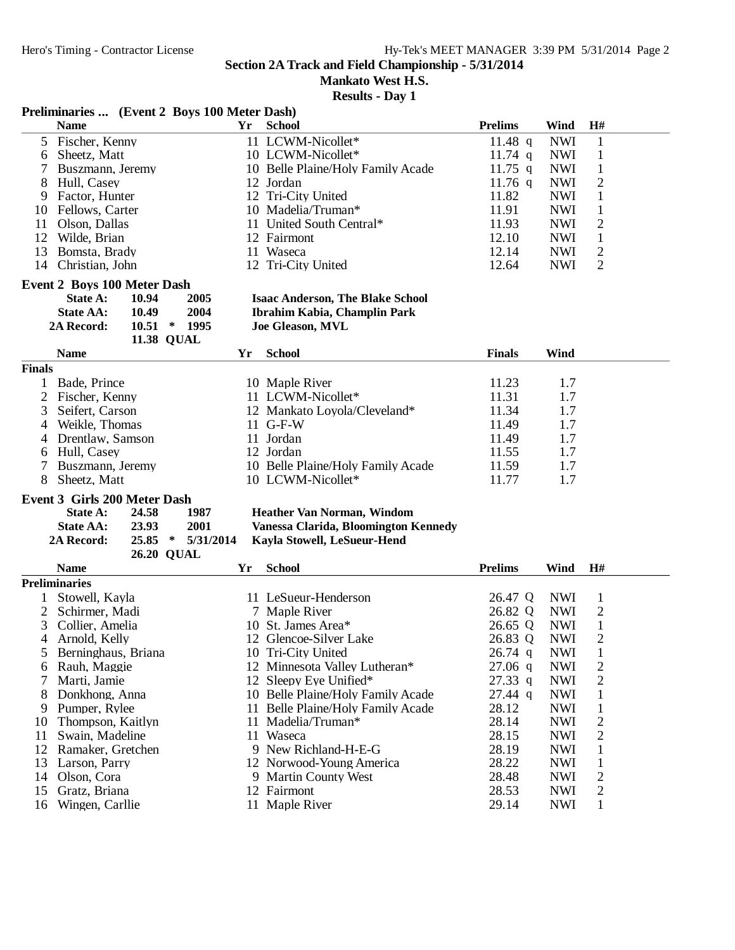**Preliminaries ... (Event 2 Boys 100 Meter Dash)**

### **Section 2A Track and Field Championship - 5/31/2014**

# **Mankato West H.S.**

|               | <b>Name</b>                         |                   |           | Yr | <b>School</b>                           | <b>Prelims</b> | Wind       | H#                           |  |
|---------------|-------------------------------------|-------------------|-----------|----|-----------------------------------------|----------------|------------|------------------------------|--|
| 5             | Fischer, Kenny                      |                   |           |    | 11 LCWM-Nicollet*                       | 11.48 $q$      | <b>NWI</b> | $\mathbf{1}$                 |  |
| 6             | Sheetz, Matt                        |                   |           |    | 10 LCWM-Nicollet*                       | $11.74$ q      | <b>NWI</b> | $\mathbf{1}$                 |  |
| 7             | Buszmann, Jeremy                    |                   |           |    | 10 Belle Plaine/Holy Family Acade       | 11.75 q        | <b>NWI</b> | $\mathbf{1}$                 |  |
| 8             | Hull, Casey                         |                   |           |    | 12 Jordan                               | $11.76$ q      | <b>NWI</b> | $\sqrt{2}$                   |  |
| 9             | Factor, Hunter                      |                   |           |    | 12 Tri-City United                      | 11.82          | <b>NWI</b> | $\mathbf{1}$                 |  |
| 10            | Fellows, Carter                     |                   |           |    | 10 Madelia/Truman*                      | 11.91          | <b>NWI</b> | $\mathbf{1}$                 |  |
| 11            | Olson, Dallas                       |                   |           |    | 11 United South Central*                | 11.93          | <b>NWI</b> | 2                            |  |
| 12            | Wilde, Brian                        |                   |           |    | 12 Fairmont                             | 12.10          | <b>NWI</b> | $\mathbf{1}$                 |  |
|               |                                     |                   |           |    |                                         |                |            |                              |  |
| 13            | Bomsta, Brady                       |                   |           |    | 11 Waseca                               | 12.14          | <b>NWI</b> | $\overline{c}$               |  |
| 14            | Christian, John                     |                   |           |    | 12 Tri-City United                      | 12.64          | <b>NWI</b> | $\overline{2}$               |  |
|               | <b>Event 2 Boys 100 Meter Dash</b>  |                   |           |    |                                         |                |            |                              |  |
|               | <b>State A:</b><br>10.94            |                   | 2005      |    | <b>Isaac Anderson, The Blake School</b> |                |            |                              |  |
|               | <b>State AA:</b><br>10.49           |                   | 2004      |    | Ibrahim Kabia, Champlin Park            |                |            |                              |  |
|               | 10.51<br>2A Record:                 |                   | $*$ 1995  |    | Joe Gleason, MVL                        |                |            |                              |  |
|               |                                     | <b>11.38 QUAL</b> |           |    |                                         |                |            |                              |  |
|               | <b>Name</b>                         |                   |           | Yr | <b>School</b>                           | <b>Finals</b>  | Wind       |                              |  |
| <b>Finals</b> |                                     |                   |           |    |                                         |                |            |                              |  |
| $\mathbf 1$   | Bade, Prince                        |                   |           |    | 10 Maple River                          | 11.23          | 1.7        |                              |  |
|               | 2 Fischer, Kenny                    |                   |           |    | 11 LCWM-Nicollet*                       | 11.31          | 1.7        |                              |  |
|               | Seifert, Carson                     |                   |           |    |                                         |                |            |                              |  |
| 3             |                                     |                   |           |    | 12 Mankato Loyola/Cleveland*            | 11.34          | 1.7        |                              |  |
| 4             | Weikle, Thomas                      |                   |           |    | 11 G-F-W                                | 11.49          | 1.7        |                              |  |
| 4             | Drentlaw, Samson                    |                   |           |    | 11 Jordan                               | 11.49          | 1.7        |                              |  |
| 6             | Hull, Casey                         |                   |           |    | 12 Jordan                               | 11.55          | 1.7        |                              |  |
|               | Buszmann, Jeremy                    |                   |           |    | 10 Belle Plaine/Holy Family Acade       | 11.59          | 1.7        |                              |  |
| 8             | Sheetz, Matt                        |                   |           |    | 10 LCWM-Nicollet*                       | 11.77          | 1.7        |                              |  |
|               | <b>Event 3 Girls 200 Meter Dash</b> |                   |           |    |                                         |                |            |                              |  |
|               | 24.58<br><b>State A:</b>            |                   | 1987      |    | Heather Van Norman, Windom              |                |            |                              |  |
|               | 23.93<br><b>State AA:</b>           |                   | 2001      |    | Vanessa Clarida, Bloomington Kennedy    |                |            |                              |  |
|               | 2A Record:<br>25.85                 | $\ast$            | 5/31/2014 |    | Kayla Stowell, LeSueur-Hend             |                |            |                              |  |
|               |                                     | 26.20 QUAL        |           |    |                                         |                |            |                              |  |
|               | <b>Name</b>                         |                   |           | Yr | <b>School</b>                           | <b>Prelims</b> | Wind       | H#                           |  |
|               | <b>Preliminaries</b>                |                   |           |    |                                         |                |            |                              |  |
|               | Stowell, Kayla                      |                   |           |    | 11 LeSueur-Henderson                    | 26.47 Q        | <b>NWI</b> | $\mathbf{1}$                 |  |
| 2             | Schirmer, Madi                      |                   |           |    | 7 Maple River                           | 26.82 Q        | <b>NWI</b> | $\overline{c}$               |  |
| 3             | Collier, Amelia                     |                   |           |    |                                         |                | <b>NWI</b> | $\mathbf{1}$                 |  |
|               |                                     |                   |           |    |                                         |                |            |                              |  |
| 4             |                                     |                   |           |    | 10 St. James Area*                      | 26.65 Q        |            |                              |  |
| 5             | Arnold, Kelly                       |                   |           |    | 12 Glencoe-Silver Lake                  | 26.83 Q        | <b>NWI</b> | $\overline{c}$               |  |
|               | Berninghaus, Briana                 |                   |           |    | 10 Tri-City United                      | $26.74$ q      | <b>NWI</b> | $\mathbf{1}$                 |  |
| 6             | Rauh, Maggie                        |                   |           |    | 12 Minnesota Valley Lutheran*           | $27.06$ q      | <b>NWI</b> | $\overline{c}$               |  |
|               | Marti, Jamie                        |                   |           |    | 12 Sleepy Eye Unified*                  | 27.33 q        | <b>NWI</b> | $\overline{c}$               |  |
| 8             | Donkhong, Anna                      |                   |           |    | 10 Belle Plaine/Holy Family Acade       | $27.44$ q      | <b>NWI</b> | $\mathbf{1}$                 |  |
| 9             | Pumper, Rylee                       |                   |           |    | 11 Belle Plaine/Holy Family Acade       | 28.12          | <b>NWI</b> | $\mathbf{1}$                 |  |
| 10            | Thompson, Kaitlyn                   |                   |           |    | 11 Madelia/Truman*                      | 28.14          | <b>NWI</b> | $\overline{c}$               |  |
| 11            | Swain, Madeline                     |                   |           |    | 11 Waseca                               | 28.15          | <b>NWI</b> | 2                            |  |
|               | 12 Ramaker, Gretchen                |                   |           |    | 9 New Richland-H-E-G                    | 28.19          | <b>NWI</b> | $\mathbf{1}$                 |  |
| 13            | Larson, Parry                       |                   |           |    | 12 Norwood-Young America                | 28.22          | <b>NWI</b> | $\mathbf{1}$                 |  |
| 14            |                                     |                   |           |    | 9 Martin County West                    |                | <b>NWI</b> |                              |  |
| 15            | Olson, Cora<br>Gratz, Briana        |                   |           |    | 12 Fairmont                             | 28.48<br>28.53 | <b>NWI</b> | $\mathbf{2}$<br>$\mathbf{2}$ |  |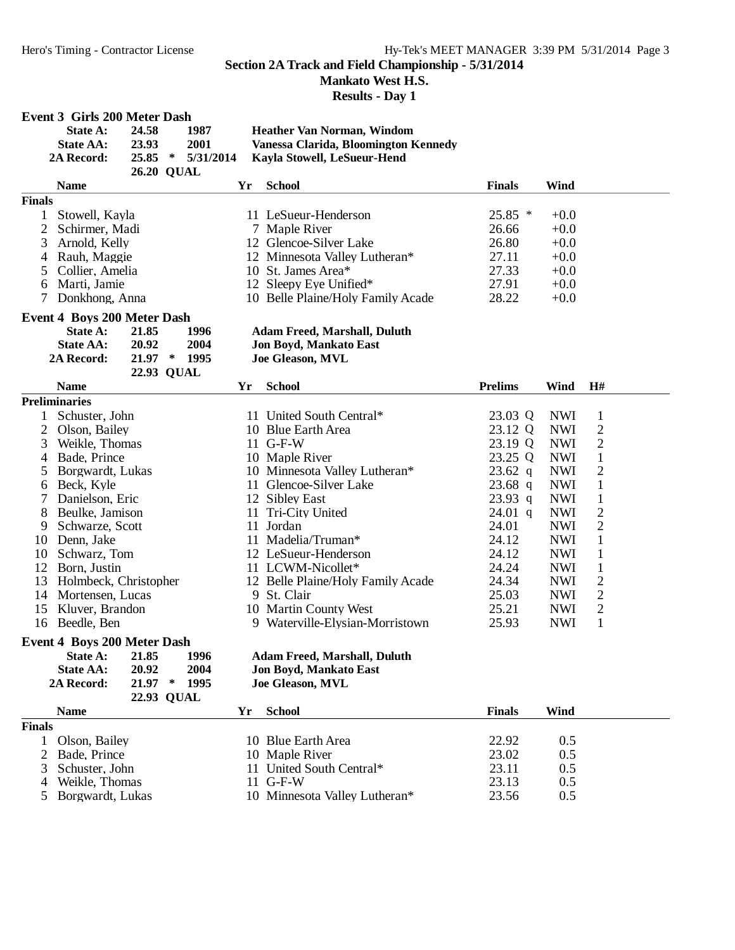# **Mankato West H.S.**

|                | <b>Event 3 Girls 200 Meter Dash</b> |                   |           |    |                                      |                |            |                |  |
|----------------|-------------------------------------|-------------------|-----------|----|--------------------------------------|----------------|------------|----------------|--|
|                | <b>State A:</b>                     | 24.58             | 1987      |    | <b>Heather Van Norman, Windom</b>    |                |            |                |  |
|                | <b>State AA:</b>                    | 23.93             | 2001      |    | Vanessa Clarida, Bloomington Kennedy |                |            |                |  |
|                | 2A Record:                          | $25.85$ *         | 5/31/2014 |    | Kayla Stowell, LeSueur-Hend          |                |            |                |  |
|                |                                     | <b>26.20 QUAL</b> |           |    |                                      |                |            |                |  |
|                | <b>Name</b>                         |                   |           | Yr | <b>School</b>                        | <b>Finals</b>  | Wind       |                |  |
| <b>Finals</b>  |                                     |                   |           |    |                                      |                |            |                |  |
| $\mathbf{1}$   | Stowell, Kayla                      |                   |           |    | 11 LeSueur-Henderson                 | $25.85$ *      | $+0.0$     |                |  |
| $\overline{2}$ | Schirmer, Madi                      |                   |           |    | 7 Maple River                        | 26.66          | $+0.0$     |                |  |
| 3              | Arnold, Kelly                       |                   |           |    | 12 Glencoe-Silver Lake               | 26.80          | $+0.0$     |                |  |
| 4              | Rauh, Maggie                        |                   |           |    | 12 Minnesota Valley Lutheran*        | 27.11          | $+0.0$     |                |  |
| 5              | Collier, Amelia                     |                   |           |    | 10 St. James Area*                   | 27.33          | $+0.0$     |                |  |
| 6              | Marti, Jamie                        |                   |           |    | 12 Sleepy Eye Unified*               | 27.91          | $+0.0$     |                |  |
| 7              | Donkhong, Anna                      |                   |           |    | 10 Belle Plaine/Holy Family Acade    | 28.22          | $+0.0$     |                |  |
|                | <b>Event 4 Boys 200 Meter Dash</b>  |                   |           |    |                                      |                |            |                |  |
|                | <b>State A:</b>                     | 21.85             | 1996      |    | <b>Adam Freed, Marshall, Duluth</b>  |                |            |                |  |
|                | <b>State AA:</b>                    | 20.92             | 2004      |    | <b>Jon Boyd, Mankato East</b>        |                |            |                |  |
|                | 2A Record:                          | $21.97$ *         | 1995      |    | Joe Gleason, MVL                     |                |            |                |  |
|                |                                     | 22.93 QUAL        |           |    |                                      |                |            |                |  |
|                | <b>Name</b>                         |                   |           | Yr | <b>School</b>                        | <b>Prelims</b> | Wind       | H#             |  |
|                | <b>Preliminaries</b>                |                   |           |    |                                      |                |            |                |  |
| 1              | Schuster, John                      |                   |           |    | 11 United South Central*             | 23.03 Q        | <b>NWI</b> | $\mathbf{1}$   |  |
| $\overline{2}$ | Olson, Bailey                       |                   |           |    | 10 Blue Earth Area                   | 23.12 Q        | <b>NWI</b> | $\overline{c}$ |  |
| 3              | Weikle, Thomas                      |                   |           |    | 11 G-F-W                             | 23.19 Q        | <b>NWI</b> | $\mathbf{2}$   |  |
| 4              | Bade, Prince                        |                   |           |    | 10 Maple River                       | 23.25 Q        | <b>NWI</b> | $\mathbf{1}$   |  |
| 5              | Borgwardt, Lukas                    |                   |           |    | 10 Minnesota Valley Lutheran*        | $23.62$ q      | <b>NWI</b> | $\mathbf{2}$   |  |
| 6              | Beck, Kyle                          |                   |           |    | 11 Glencoe-Silver Lake               | $23.68$ q      | <b>NWI</b> | $\mathbf{1}$   |  |
| 7              | Danielson, Eric                     |                   |           |    | 12 Sibley East                       | $23.93$ q      | <b>NWI</b> | $\mathbf 1$    |  |
| 8              | Beulke, Jamison                     |                   |           |    | 11 Tri-City United                   | $24.01$ q      | <b>NWI</b> | $\overline{c}$ |  |
| 9              | Schwarze, Scott                     |                   |           |    | 11 Jordan                            | 24.01          | <b>NWI</b> | $\overline{2}$ |  |
| 10             | Denn, Jake                          |                   |           |    | 11 Madelia/Truman*                   | 24.12          | <b>NWI</b> | $\mathbf 1$    |  |
| 10             | Schwarz, Tom                        |                   |           |    | 12 LeSueur-Henderson                 | 24.12          | <b>NWI</b> | $\mathbf{1}$   |  |
|                | 12 Born, Justin                     |                   |           |    | 11 LCWM-Nicollet*                    | 24.24          | <b>NWI</b> | $\mathbf{1}$   |  |
| 13             | Holmbeck, Christopher               |                   |           |    | 12 Belle Plaine/Holy Family Acade    | 24.34          | <b>NWI</b> | $\overline{c}$ |  |
| 14             | Mortensen, Lucas                    |                   |           |    | 9 St. Clair                          | 25.03          | <b>NWI</b> | $\overline{c}$ |  |
| 15             | Kluver, Brandon                     |                   |           |    | 10 Martin County West                | 25.21          | <b>NWI</b> | $\overline{c}$ |  |
| 16             | Beedle, Ben                         |                   |           |    | 9 Waterville-Elysian-Morristown      | 25.93          | <b>NWI</b> | $\mathbf{1}$   |  |
|                | <b>Event 4 Boys 200 Meter Dash</b>  |                   |           |    |                                      |                |            |                |  |
|                | <b>State A:</b>                     | 21.85             | 1996      |    | <b>Adam Freed, Marshall, Duluth</b>  |                |            |                |  |
|                | <b>State AA:</b>                    | 20.92             | 2004      |    | <b>Jon Boyd, Mankato East</b>        |                |            |                |  |
|                | 2A Record:                          | $21.97$ *         | 1995      |    | Joe Gleason, MVL                     |                |            |                |  |
|                |                                     | 22.93 QUAL        |           |    |                                      |                |            |                |  |
|                | <b>Name</b>                         |                   |           | Yr | <b>School</b>                        | <b>Finals</b>  | Wind       |                |  |
| <b>Finals</b>  |                                     |                   |           |    |                                      |                |            |                |  |
| 1              | Olson, Bailey                       |                   |           |    | 10 Blue Earth Area                   | 22.92          | 0.5        |                |  |
| 2              | Bade, Prince                        |                   |           |    | 10 Maple River                       | 23.02          | 0.5        |                |  |
| 3              | Schuster, John                      |                   |           |    | 11 United South Central*             | 23.11          | 0.5        |                |  |
| 4              | Weikle, Thomas                      |                   |           |    | $11$ G-F-W                           | 23.13          | 0.5        |                |  |
| 5              | Borgwardt, Lukas                    |                   |           |    | 10 Minnesota Valley Lutheran*        | 23.56          | 0.5        |                |  |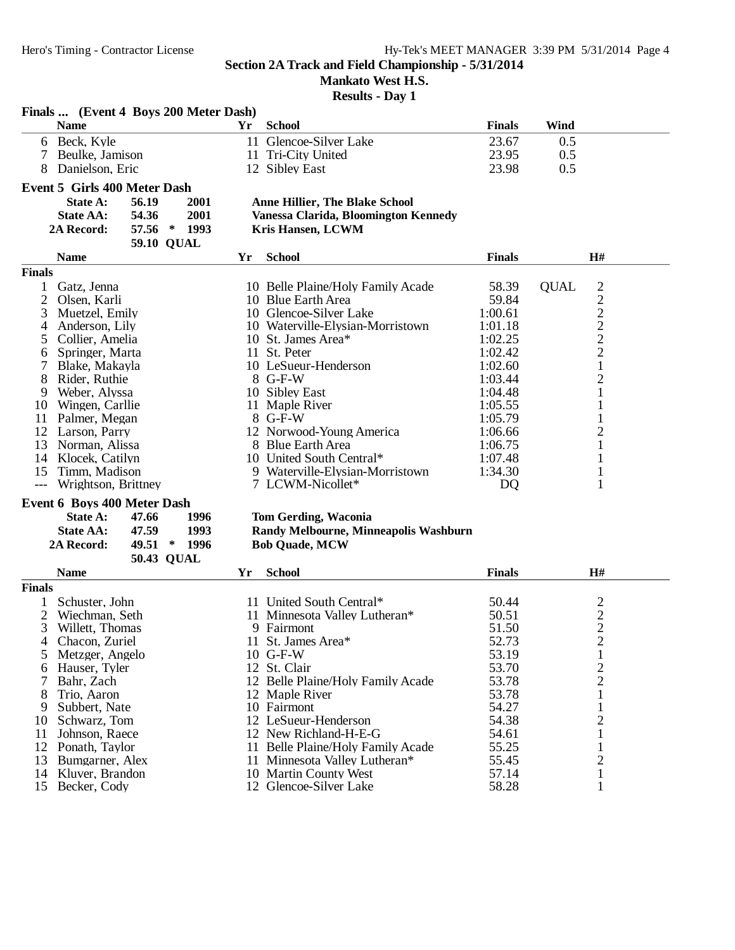# **Mankato West H.S.**

| Finals  (Event 4 Boys 200 Meter Dash) |                                       |               |                                            |
|---------------------------------------|---------------------------------------|---------------|--------------------------------------------|
| <b>Name</b>                           | <b>School</b><br>Yr                   | <b>Finals</b> | Wind                                       |
| Beck, Kyle<br>6                       | Glencoe-Silver Lake<br>11             | 23.67         | 0.5                                        |
| Beulke, Jamison<br>7                  | 11 Tri-City United                    | 23.95         | 0.5                                        |
| Danielson, Eric                       | 12 Sibley East                        | 23.98         | 0.5                                        |
| <b>Event 5 Girls 400 Meter Dash</b>   |                                       |               |                                            |
| <b>State A:</b><br>56.19<br>2001      | <b>Anne Hillier, The Blake School</b> |               |                                            |
| 54.36<br><b>State AA:</b><br>2001     | Vanessa Clarida, Bloomington Kennedy  |               |                                            |
| $*$ 1993<br>2A Record:<br>57.56       | <b>Kris Hansen, LCWM</b>              |               |                                            |
| <b>59.10 QUAL</b>                     |                                       |               |                                            |
| <b>Name</b>                           | <b>School</b><br>Yr                   | <b>Finals</b> | H#                                         |
| <b>Finals</b>                         |                                       |               |                                            |
| Gatz, Jenna<br>1                      | 10 Belle Plaine/Holy Family Acade     | 58.39         | <b>QUAL</b><br>$\overline{c}$              |
| 2<br>Olsen, Karli                     | 10 Blue Earth Area                    | 59.84         |                                            |
| 3<br>Muetzel, Emily                   | 10 Glencoe-Silver Lake                | 1:00.61       | $\begin{array}{c} 2 \\ 2 \\ 2 \end{array}$ |
| Anderson, Lily<br>4                   | 10 Waterville-Elysian-Morristown      | 1:01.18       |                                            |
| Collier, Amelia<br>5                  | 10 St. James Area*                    | 1:02.25       |                                            |
| Springer, Marta<br>6                  | 11 St. Peter                          | 1:02.42       | $\frac{2}{1}$                              |
| 7<br>Blake, Makayla                   | 10 LeSueur-Henderson                  | 1:02.60       |                                            |
| 8<br>Rider, Ruthie                    | 8 G-F-W                               | 1:03.44       | 2                                          |
| Weber, Alyssa<br>9                    | 10 Sibley East                        | 1:04.48       | $\mathbf{1}$                               |
| Wingen, Carllie<br>10                 | 11 Maple River                        | 1:05.55       | $\mathbf{1}$                               |
| 11<br>Palmer, Megan                   | 8 G-F-W                               | 1:05.79       | $\mathbf{1}$                               |
| 12<br>Larson, Parry                   | 12 Norwood-Young America              | 1:06.66       | $\overline{\mathbf{c}}$                    |
| 13<br>Norman, Alissa                  | 8 Blue Earth Area                     | 1:06.75       | $\mathbf{1}$                               |
| 14<br>Klocek, Catilyn                 | 10 United South Central*              | 1:07.48       | 1                                          |
| 15<br>Timm, Madison                   | 9 Waterville-Elysian-Morristown       | 1:34.30       | $\mathbf{1}$                               |
| Wrightson, Brittney<br>$---$          | 7 LCWM-Nicollet*                      | DQ            | 1                                          |
| <b>Event 6 Boys 400 Meter Dash</b>    |                                       |               |                                            |
| 47.66<br>1996<br><b>State A:</b>      | <b>Tom Gerding, Waconia</b>           |               |                                            |
| <b>State AA:</b><br>47.59<br>1993     | Randy Melbourne, Minneapolis Washburn |               |                                            |
| 2A Record:<br>49.51<br>$\ast$<br>1996 | <b>Bob Quade, MCW</b>                 |               |                                            |
| 50.43 QUAL                            |                                       |               |                                            |
| <b>Name</b>                           | <b>School</b><br>Yr                   | <b>Finals</b> | H#                                         |
| <b>Finals</b>                         |                                       |               |                                            |
| Schuster, John                        | 11 United South Central*              | 50.44         |                                            |
| 2<br>Wiechman, Seth                   | 11 Minnesota Valley Lutheran*         | 50.51         | $\frac{2}{2}$                              |
| 3<br>Willett, Thomas                  | 9 Fairmont                            | 51.50         |                                            |
| 4 Chacon, Zuriel                      | 11 St. James Area*                    | 52.73         | $\overline{c}$                             |
| 5<br>Metzger, Angelo                  | $10$ G-F-W                            | 53.19         | $\mathbf 1$                                |
| Hauser, Tyler<br>6                    | 12 St. Clair                          | 53.70         | $\overline{c}$                             |
| Bahr, Zach                            | 12 Belle Plaine/Holy Family Acade     | 53.78         | $\overline{c}$                             |
| Trio, Aaron                           | 12 Maple River                        | 53.78         | 1                                          |
| Subbert, Nate<br>9                    | 10 Fairmont                           | 54.27         | 1                                          |
| 10<br>Schwarz, Tom                    | 12 LeSueur-Henderson                  | 54.38         | 2                                          |
| 11<br>Johnson, Raece                  | 12 New Richland-H-E-G                 | 54.61         | 1                                          |
| 12 Ponath, Taylor                     | 11 Belle Plaine/Holy Family Acade     | 55.25         |                                            |
| Bumgarner, Alex<br>13                 | 11 Minnesota Valley Lutheran*         | 55.45         | 2                                          |
| Kluver, Brandon<br>14                 | 10 Martin County West                 | 57.14         | 1                                          |
| 15<br>Becker, Cody                    | 12 Glencoe-Silver Lake                | 58.28         | 1                                          |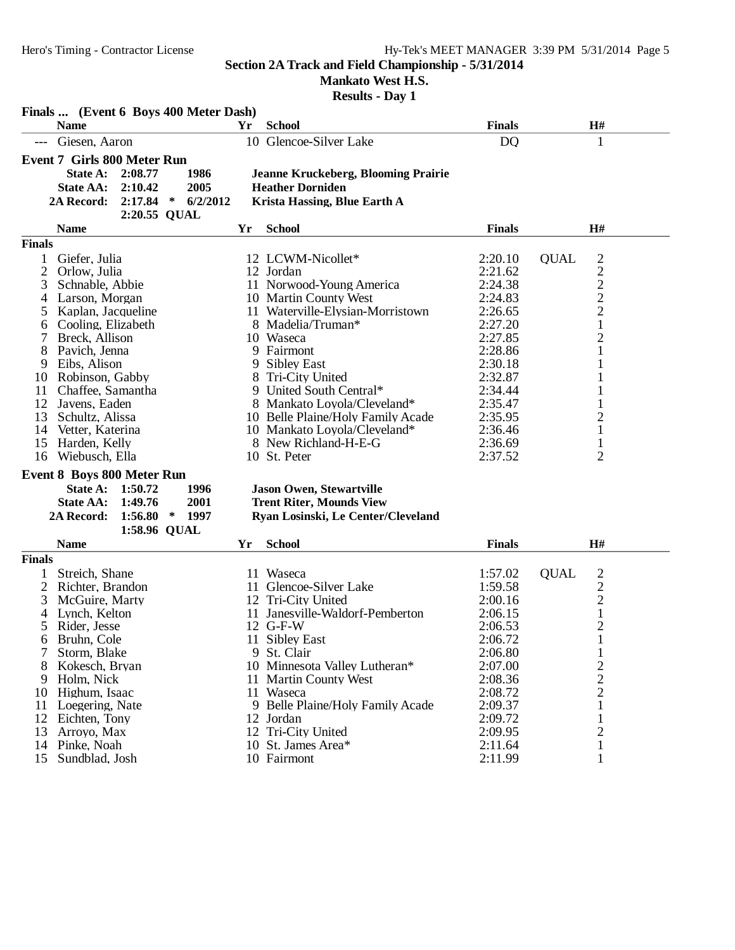# **Mankato West H.S.**

|                  |                                                                                                                                                                                                                                                                                                                                       |                                                                                                                                                                                 |                                                                                                                                         |                                                              |                                                                                                                                                                                                                                                                                                                                                                                                                                                                                                                                                                                                                                                                                                                                                                                                                                                                                                                                                                                                | H#                                                                                                                                                                                                                          |
|------------------|---------------------------------------------------------------------------------------------------------------------------------------------------------------------------------------------------------------------------------------------------------------------------------------------------------------------------------------|---------------------------------------------------------------------------------------------------------------------------------------------------------------------------------|-----------------------------------------------------------------------------------------------------------------------------------------|--------------------------------------------------------------|------------------------------------------------------------------------------------------------------------------------------------------------------------------------------------------------------------------------------------------------------------------------------------------------------------------------------------------------------------------------------------------------------------------------------------------------------------------------------------------------------------------------------------------------------------------------------------------------------------------------------------------------------------------------------------------------------------------------------------------------------------------------------------------------------------------------------------------------------------------------------------------------------------------------------------------------------------------------------------------------|-----------------------------------------------------------------------------------------------------------------------------------------------------------------------------------------------------------------------------|
|                  |                                                                                                                                                                                                                                                                                                                                       |                                                                                                                                                                                 |                                                                                                                                         |                                                              |                                                                                                                                                                                                                                                                                                                                                                                                                                                                                                                                                                                                                                                                                                                                                                                                                                                                                                                                                                                                | 1                                                                                                                                                                                                                           |
|                  |                                                                                                                                                                                                                                                                                                                                       |                                                                                                                                                                                 |                                                                                                                                         |                                                              |                                                                                                                                                                                                                                                                                                                                                                                                                                                                                                                                                                                                                                                                                                                                                                                                                                                                                                                                                                                                |                                                                                                                                                                                                                             |
|                  |                                                                                                                                                                                                                                                                                                                                       |                                                                                                                                                                                 |                                                                                                                                         |                                                              |                                                                                                                                                                                                                                                                                                                                                                                                                                                                                                                                                                                                                                                                                                                                                                                                                                                                                                                                                                                                |                                                                                                                                                                                                                             |
|                  |                                                                                                                                                                                                                                                                                                                                       |                                                                                                                                                                                 |                                                                                                                                         |                                                              |                                                                                                                                                                                                                                                                                                                                                                                                                                                                                                                                                                                                                                                                                                                                                                                                                                                                                                                                                                                                |                                                                                                                                                                                                                             |
|                  |                                                                                                                                                                                                                                                                                                                                       |                                                                                                                                                                                 |                                                                                                                                         |                                                              |                                                                                                                                                                                                                                                                                                                                                                                                                                                                                                                                                                                                                                                                                                                                                                                                                                                                                                                                                                                                |                                                                                                                                                                                                                             |
|                  |                                                                                                                                                                                                                                                                                                                                       |                                                                                                                                                                                 |                                                                                                                                         |                                                              |                                                                                                                                                                                                                                                                                                                                                                                                                                                                                                                                                                                                                                                                                                                                                                                                                                                                                                                                                                                                |                                                                                                                                                                                                                             |
|                  |                                                                                                                                                                                                                                                                                                                                       |                                                                                                                                                                                 |                                                                                                                                         |                                                              |                                                                                                                                                                                                                                                                                                                                                                                                                                                                                                                                                                                                                                                                                                                                                                                                                                                                                                                                                                                                | H#                                                                                                                                                                                                                          |
|                  |                                                                                                                                                                                                                                                                                                                                       |                                                                                                                                                                                 |                                                                                                                                         |                                                              |                                                                                                                                                                                                                                                                                                                                                                                                                                                                                                                                                                                                                                                                                                                                                                                                                                                                                                                                                                                                |                                                                                                                                                                                                                             |
|                  |                                                                                                                                                                                                                                                                                                                                       |                                                                                                                                                                                 |                                                                                                                                         |                                                              |                                                                                                                                                                                                                                                                                                                                                                                                                                                                                                                                                                                                                                                                                                                                                                                                                                                                                                                                                                                                | $\overline{\mathbf{c}}$<br><b>QUAL</b>                                                                                                                                                                                      |
|                  |                                                                                                                                                                                                                                                                                                                                       |                                                                                                                                                                                 |                                                                                                                                         |                                                              |                                                                                                                                                                                                                                                                                                                                                                                                                                                                                                                                                                                                                                                                                                                                                                                                                                                                                                                                                                                                |                                                                                                                                                                                                                             |
|                  |                                                                                                                                                                                                                                                                                                                                       |                                                                                                                                                                                 |                                                                                                                                         |                                                              |                                                                                                                                                                                                                                                                                                                                                                                                                                                                                                                                                                                                                                                                                                                                                                                                                                                                                                                                                                                                | $\begin{array}{c}\n2 \\ 2 \\ 2 \\ 1\n\end{array}$                                                                                                                                                                           |
|                  |                                                                                                                                                                                                                                                                                                                                       |                                                                                                                                                                                 |                                                                                                                                         |                                                              |                                                                                                                                                                                                                                                                                                                                                                                                                                                                                                                                                                                                                                                                                                                                                                                                                                                                                                                                                                                                |                                                                                                                                                                                                                             |
|                  |                                                                                                                                                                                                                                                                                                                                       |                                                                                                                                                                                 |                                                                                                                                         |                                                              |                                                                                                                                                                                                                                                                                                                                                                                                                                                                                                                                                                                                                                                                                                                                                                                                                                                                                                                                                                                                |                                                                                                                                                                                                                             |
|                  |                                                                                                                                                                                                                                                                                                                                       |                                                                                                                                                                                 |                                                                                                                                         |                                                              |                                                                                                                                                                                                                                                                                                                                                                                                                                                                                                                                                                                                                                                                                                                                                                                                                                                                                                                                                                                                |                                                                                                                                                                                                                             |
|                  |                                                                                                                                                                                                                                                                                                                                       |                                                                                                                                                                                 |                                                                                                                                         |                                                              |                                                                                                                                                                                                                                                                                                                                                                                                                                                                                                                                                                                                                                                                                                                                                                                                                                                                                                                                                                                                | $\overline{c}$                                                                                                                                                                                                              |
|                  |                                                                                                                                                                                                                                                                                                                                       |                                                                                                                                                                                 |                                                                                                                                         |                                                              |                                                                                                                                                                                                                                                                                                                                                                                                                                                                                                                                                                                                                                                                                                                                                                                                                                                                                                                                                                                                | 1                                                                                                                                                                                                                           |
|                  |                                                                                                                                                                                                                                                                                                                                       |                                                                                                                                                                                 |                                                                                                                                         |                                                              |                                                                                                                                                                                                                                                                                                                                                                                                                                                                                                                                                                                                                                                                                                                                                                                                                                                                                                                                                                                                |                                                                                                                                                                                                                             |
|                  |                                                                                                                                                                                                                                                                                                                                       |                                                                                                                                                                                 |                                                                                                                                         |                                                              |                                                                                                                                                                                                                                                                                                                                                                                                                                                                                                                                                                                                                                                                                                                                                                                                                                                                                                                                                                                                |                                                                                                                                                                                                                             |
|                  |                                                                                                                                                                                                                                                                                                                                       |                                                                                                                                                                                 |                                                                                                                                         |                                                              |                                                                                                                                                                                                                                                                                                                                                                                                                                                                                                                                                                                                                                                                                                                                                                                                                                                                                                                                                                                                |                                                                                                                                                                                                                             |
|                  |                                                                                                                                                                                                                                                                                                                                       |                                                                                                                                                                                 |                                                                                                                                         |                                                              |                                                                                                                                                                                                                                                                                                                                                                                                                                                                                                                                                                                                                                                                                                                                                                                                                                                                                                                                                                                                |                                                                                                                                                                                                                             |
|                  |                                                                                                                                                                                                                                                                                                                                       |                                                                                                                                                                                 |                                                                                                                                         |                                                              |                                                                                                                                                                                                                                                                                                                                                                                                                                                                                                                                                                                                                                                                                                                                                                                                                                                                                                                                                                                                | $\overline{c}$                                                                                                                                                                                                              |
|                  |                                                                                                                                                                                                                                                                                                                                       |                                                                                                                                                                                 |                                                                                                                                         |                                                              |                                                                                                                                                                                                                                                                                                                                                                                                                                                                                                                                                                                                                                                                                                                                                                                                                                                                                                                                                                                                | 1                                                                                                                                                                                                                           |
|                  |                                                                                                                                                                                                                                                                                                                                       |                                                                                                                                                                                 |                                                                                                                                         |                                                              |                                                                                                                                                                                                                                                                                                                                                                                                                                                                                                                                                                                                                                                                                                                                                                                                                                                                                                                                                                                                | 1                                                                                                                                                                                                                           |
|                  |                                                                                                                                                                                                                                                                                                                                       |                                                                                                                                                                                 |                                                                                                                                         |                                                              |                                                                                                                                                                                                                                                                                                                                                                                                                                                                                                                                                                                                                                                                                                                                                                                                                                                                                                                                                                                                | $\overline{2}$                                                                                                                                                                                                              |
|                  |                                                                                                                                                                                                                                                                                                                                       |                                                                                                                                                                                 |                                                                                                                                         |                                                              |                                                                                                                                                                                                                                                                                                                                                                                                                                                                                                                                                                                                                                                                                                                                                                                                                                                                                                                                                                                                |                                                                                                                                                                                                                             |
|                  |                                                                                                                                                                                                                                                                                                                                       | 1996                                                                                                                                                                            |                                                                                                                                         |                                                              |                                                                                                                                                                                                                                                                                                                                                                                                                                                                                                                                                                                                                                                                                                                                                                                                                                                                                                                                                                                                |                                                                                                                                                                                                                             |
| <b>State AA:</b> |                                                                                                                                                                                                                                                                                                                                       | 2001                                                                                                                                                                            |                                                                                                                                         |                                                              |                                                                                                                                                                                                                                                                                                                                                                                                                                                                                                                                                                                                                                                                                                                                                                                                                                                                                                                                                                                                |                                                                                                                                                                                                                             |
| 2A Record:       | ∗                                                                                                                                                                                                                                                                                                                                     | 1997                                                                                                                                                                            |                                                                                                                                         |                                                              |                                                                                                                                                                                                                                                                                                                                                                                                                                                                                                                                                                                                                                                                                                                                                                                                                                                                                                                                                                                                |                                                                                                                                                                                                                             |
|                  |                                                                                                                                                                                                                                                                                                                                       |                                                                                                                                                                                 |                                                                                                                                         |                                                              |                                                                                                                                                                                                                                                                                                                                                                                                                                                                                                                                                                                                                                                                                                                                                                                                                                                                                                                                                                                                |                                                                                                                                                                                                                             |
| <b>Name</b>      |                                                                                                                                                                                                                                                                                                                                       |                                                                                                                                                                                 |                                                                                                                                         | <b>School</b>                                                | <b>Finals</b>                                                                                                                                                                                                                                                                                                                                                                                                                                                                                                                                                                                                                                                                                                                                                                                                                                                                                                                                                                                  | H#                                                                                                                                                                                                                          |
| <b>Finals</b>    |                                                                                                                                                                                                                                                                                                                                       |                                                                                                                                                                                 |                                                                                                                                         |                                                              |                                                                                                                                                                                                                                                                                                                                                                                                                                                                                                                                                                                                                                                                                                                                                                                                                                                                                                                                                                                                |                                                                                                                                                                                                                             |
| Streich, Shane   |                                                                                                                                                                                                                                                                                                                                       |                                                                                                                                                                                 |                                                                                                                                         |                                                              | 1:57.02                                                                                                                                                                                                                                                                                                                                                                                                                                                                                                                                                                                                                                                                                                                                                                                                                                                                                                                                                                                        | <b>QUAL</b>                                                                                                                                                                                                                 |
|                  |                                                                                                                                                                                                                                                                                                                                       |                                                                                                                                                                                 |                                                                                                                                         |                                                              | 1:59.58                                                                                                                                                                                                                                                                                                                                                                                                                                                                                                                                                                                                                                                                                                                                                                                                                                                                                                                                                                                        |                                                                                                                                                                                                                             |
| McGuire, Marty   |                                                                                                                                                                                                                                                                                                                                       |                                                                                                                                                                                 |                                                                                                                                         |                                                              | 2:00.16                                                                                                                                                                                                                                                                                                                                                                                                                                                                                                                                                                                                                                                                                                                                                                                                                                                                                                                                                                                        | $\begin{array}{c} 2 \\ 2 \\ 2 \\ 1 \end{array}$                                                                                                                                                                             |
| Lynch, Kelton    |                                                                                                                                                                                                                                                                                                                                       |                                                                                                                                                                                 |                                                                                                                                         |                                                              | 2:06.15                                                                                                                                                                                                                                                                                                                                                                                                                                                                                                                                                                                                                                                                                                                                                                                                                                                                                                                                                                                        |                                                                                                                                                                                                                             |
| Rider, Jesse     |                                                                                                                                                                                                                                                                                                                                       |                                                                                                                                                                                 |                                                                                                                                         |                                                              | 2:06.53                                                                                                                                                                                                                                                                                                                                                                                                                                                                                                                                                                                                                                                                                                                                                                                                                                                                                                                                                                                        | $\overline{c}$                                                                                                                                                                                                              |
| 6 Bruhn, Cole    |                                                                                                                                                                                                                                                                                                                                       |                                                                                                                                                                                 |                                                                                                                                         |                                                              | 2:06.72                                                                                                                                                                                                                                                                                                                                                                                                                                                                                                                                                                                                                                                                                                                                                                                                                                                                                                                                                                                        | $\mathbf{1}$                                                                                                                                                                                                                |
| Storm, Blake     |                                                                                                                                                                                                                                                                                                                                       |                                                                                                                                                                                 |                                                                                                                                         |                                                              | 2:06.80                                                                                                                                                                                                                                                                                                                                                                                                                                                                                                                                                                                                                                                                                                                                                                                                                                                                                                                                                                                        | $\mathbf{1}$                                                                                                                                                                                                                |
| Kokesch, Bryan   |                                                                                                                                                                                                                                                                                                                                       |                                                                                                                                                                                 |                                                                                                                                         |                                                              | 2:07.00                                                                                                                                                                                                                                                                                                                                                                                                                                                                                                                                                                                                                                                                                                                                                                                                                                                                                                                                                                                        | $\overline{c}$                                                                                                                                                                                                              |
| Holm, Nick       |                                                                                                                                                                                                                                                                                                                                       |                                                                                                                                                                                 |                                                                                                                                         |                                                              | 2:08.36                                                                                                                                                                                                                                                                                                                                                                                                                                                                                                                                                                                                                                                                                                                                                                                                                                                                                                                                                                                        | $\overline{c}$                                                                                                                                                                                                              |
| Highum, Isaac    |                                                                                                                                                                                                                                                                                                                                       |                                                                                                                                                                                 |                                                                                                                                         |                                                              | 2:08.72                                                                                                                                                                                                                                                                                                                                                                                                                                                                                                                                                                                                                                                                                                                                                                                                                                                                                                                                                                                        | $\overline{c}$                                                                                                                                                                                                              |
| Loegering, Nate  |                                                                                                                                                                                                                                                                                                                                       |                                                                                                                                                                                 |                                                                                                                                         |                                                              | 2:09.37                                                                                                                                                                                                                                                                                                                                                                                                                                                                                                                                                                                                                                                                                                                                                                                                                                                                                                                                                                                        | 1                                                                                                                                                                                                                           |
| 12 Eichten, Tony |                                                                                                                                                                                                                                                                                                                                       |                                                                                                                                                                                 |                                                                                                                                         |                                                              | 2:09.72                                                                                                                                                                                                                                                                                                                                                                                                                                                                                                                                                                                                                                                                                                                                                                                                                                                                                                                                                                                        |                                                                                                                                                                                                                             |
| Arroyo, Max      |                                                                                                                                                                                                                                                                                                                                       |                                                                                                                                                                                 |                                                                                                                                         |                                                              | 2:09.95                                                                                                                                                                                                                                                                                                                                                                                                                                                                                                                                                                                                                                                                                                                                                                                                                                                                                                                                                                                        | 2                                                                                                                                                                                                                           |
| Pinke, Noah      |                                                                                                                                                                                                                                                                                                                                       |                                                                                                                                                                                 |                                                                                                                                         |                                                              | 2:11.64                                                                                                                                                                                                                                                                                                                                                                                                                                                                                                                                                                                                                                                                                                                                                                                                                                                                                                                                                                                        | 1                                                                                                                                                                                                                           |
| Sundblad, Josh   |                                                                                                                                                                                                                                                                                                                                       |                                                                                                                                                                                 |                                                                                                                                         | 10 Fairmont                                                  | 2:11.99                                                                                                                                                                                                                                                                                                                                                                                                                                                                                                                                                                                                                                                                                                                                                                                                                                                                                                                                                                                        |                                                                                                                                                                                                                             |
|                  | <b>Name</b><br>Giesen, Aaron<br><b>State A:</b><br><b>State AA:</b><br>2A Record:<br><b>Name</b><br><b>Finals</b><br>Giefer, Julia<br>Orlow, Julia<br>Schnable, Abbie<br>Larson, Morgan<br>Breck, Allison<br>Pavich, Jenna<br>Eibs, Alison<br>Javens, Eaden<br>Schultz, Alissa<br>Vetter, Katerina<br>Harden, Kelly<br>Wiebusch, Ella | 2:08.77<br>2:10.42<br>2:17.84<br>Kaplan, Jacqueline<br>Cooling, Elizabeth<br>Robinson, Gabby<br>Chaffee, Samantha<br>State A: 1:50.72<br>1:49.76<br>1:56.80<br>Richter, Brandon | <b>Event 7 Girls 800 Meter Run</b><br>1986<br>2005<br>$*$ 6/2/2012<br>2:20.55 QUAL<br><b>Event 8 Boys 800 Meter Run</b><br>1:58.96 QUAL | Finals  (Event 6 Boys 400 Meter Dash)<br>Yr<br>Yr<br>9<br>Yr | <b>School</b><br>Glencoe-Silver Lake<br>10<br><b>Jeanne Kruckeberg, Blooming Prairie</b><br><b>Heather Dorniden</b><br>Krista Hassing, Blue Earth A<br><b>School</b><br>12 LCWM-Nicollet*<br>12 Jordan<br>11 Norwood-Young America<br>10 Martin County West<br>11 Waterville-Elysian-Morristown<br>8 Madelia/Truman*<br>10 Waseca<br>9 Fairmont<br><b>Sibley East</b><br>8 Tri-City United<br>9 United South Central*<br>8 Mankato Loyola/Cleveland*<br>10 Belle Plaine/Holy Family Acade<br>10 Mankato Loyola/Cleveland*<br>8 New Richland-H-E-G<br>10 St. Peter<br><b>Jason Owen, Stewartville</b><br><b>Trent Riter, Mounds View</b><br>Ryan Losinski, Le Center/Cleveland<br>11 Waseca<br>11 Glencoe-Silver Lake<br>12 Tri-City United<br>11 Janesville-Waldorf-Pemberton<br>12 G-F-W<br>11 Sibley East<br>9 St. Clair<br>10 Minnesota Valley Lutheran*<br>11 Martin County West<br>11 Waseca<br>9 Belle Plaine/Holy Family Acade<br>12 Jordan<br>12 Tri-City United<br>10 St. James Area* | <b>Finals</b><br><b>DQ</b><br><b>Finals</b><br>2:20.10<br>2:21.62<br>2:24.38<br>2:24.83<br>2:26.65<br>2:27.20<br>2:27.85<br>2:28.86<br>2:30.18<br>2:32.87<br>2:34.44<br>2:35.47<br>2:35.95<br>2:36.46<br>2:36.69<br>2:37.52 |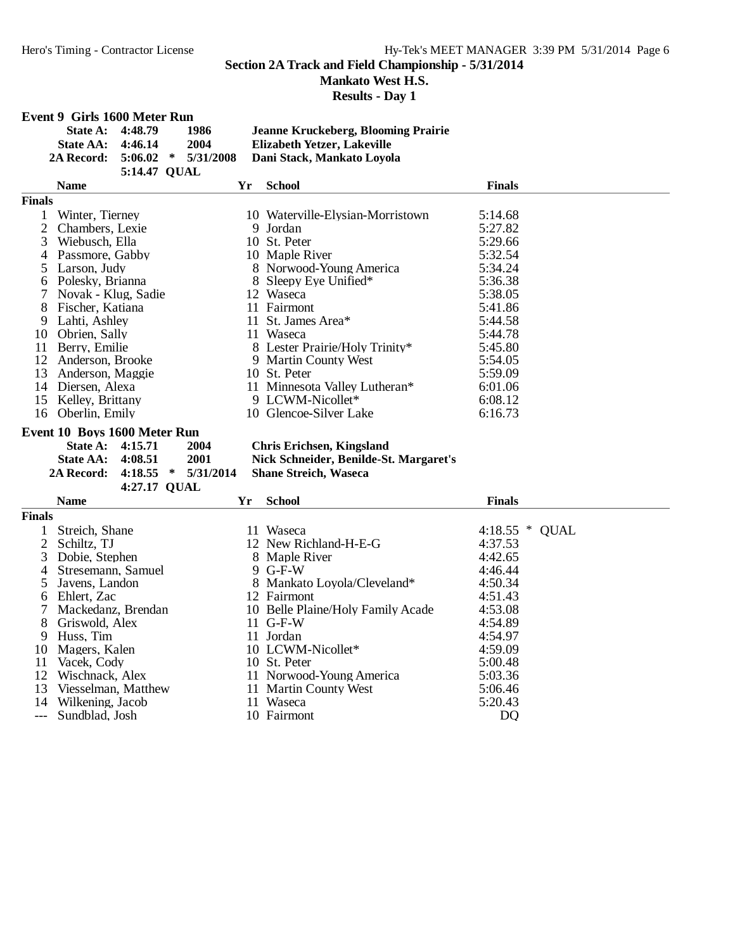### **Mankato West H.S.**

**Results - Day 1**

### **Event 9 Girls 1600 Meter Run**

| State A: 4:48.79    |                         | 1986 | Jeanne Kruckeberg, Blooming Prairie |
|---------------------|-------------------------|------|-------------------------------------|
| State AA: $4:46.14$ |                         | 2004 | Elizabeth Yetzer, Lakeville         |
| 2A Record:          | $5:06.02$ * $5/31/2008$ |      | Dani Stack, Mankato Lovola          |
|                     | 5:14.47 OUAL            |      |                                     |

### **Name Yr School Finals Finals**

| <b>inals</b> |                               |                                           |         |
|--------------|-------------------------------|-------------------------------------------|---------|
|              | Winter, Tierney               | 10 Waterville-Elysian-Morristown          | 5:14.68 |
|              | 2 Chambers, Lexie             | 9 Jordan                                  | 5:27.82 |
| 3.           | Wiebusch, Ella                | 10 St. Peter                              | 5:29.66 |
| 4            | Passmore, Gabby               | 10 Maple River                            | 5:32.54 |
|              | 5 Larson, Judy                | 8 Norwood-Young America                   | 5:34.24 |
|              | 6 Polesky, Brianna            | 8 Sleepy Eye Unified*                     | 5:36.38 |
|              | 7 Novak - Klug, Sadie         | 12 Waseca                                 | 5:38.05 |
|              | 8 Fischer, Katiana            | 11 Fairmont                               | 5:41.86 |
| 9            | Lahti, Ashley                 | 11 St. James Area*                        | 5:44.58 |
| 10           | Obrien, Sally                 | 11 Waseca                                 | 5:44.78 |
| 11           | Berry, Emilie                 | 8 Lester Prairie/Holy Trinity*            | 5:45.80 |
| 12           | Anderson, Brooke              | 9 Martin County West                      | 5:54.05 |
| 13           | Anderson, Maggie              | 10 St. Peter                              | 5:59.09 |
| 14           | Diersen. Alexa                | 11 Minnesota Valley Lutheran <sup>*</sup> | 6:01.06 |
|              | 15 Kelley, Brittany           | 9 LCWM-Nicollet*                          | 6:08.12 |
|              | 16 Oberlin, Emily             | 10 Glencoe-Silver Lake                    | 6:16.73 |
|              | 'vont 10. Roys 1600 Motor Run |                                           |         |

# **Event 10 Boys 1600 Meter Run**<br>State A: 4:15.71 2004

**State A: 4:15.71 2004 Chris Erichsen, Kingsland State AA: 4:08.51 2001 Nick Schneider, Benilde-St. Margaret's 2A Record: 4:18.55 \* 5/31/2014** 

**QUAL4:27.17 Name Yr School Finals**

## **Finals**

|    | Streich, Shane         | 11 Waseca                         | $4:18.55$ *<br><b>QUAL</b> |
|----|------------------------|-----------------------------------|----------------------------|
| 2  | Schiltz, TJ            | 12 New Richland-H-E-G             | 4:37.53                    |
|    | 3 Dobie, Stephen       | 8 Maple River                     | 4:42.65                    |
|    | 4 Stresemann, Samuel   | 9 G-F-W                           | 4:46.44                    |
|    | 5 Javens, Landon       | 8 Mankato Loyola/Cleveland*       | 4:50.34                    |
|    | 6 Ehlert, Zac          | 12 Fairmont                       | 4:51.43                    |
|    | 7 Mackedanz, Brendan   | 10 Belle Plaine/Holy Family Acade | 4:53.08                    |
|    | 8 Griswold, Alex       | $11$ G-F-W                        | 4:54.89                    |
|    | 9 Huss. Tim            | 11 Jordan                         | 4:54.97                    |
|    | 10 Magers, Kalen       | 10 LCWM-Nicollet*                 | 4:59.09                    |
| 11 | Vacek, Cody            | 10 St. Peter                      | 5:00.48                    |
|    | 12 Wischnack, Alex     | 11 Norwood-Young America          | 5:03.36                    |
|    | 13 Viesselman, Matthew | 11 Martin County West             | 5:06.46                    |
|    | 14 Wilkening, Jacob    | 11 Waseca                         | 5:20.43                    |
|    | --- Sundblad, Josh     | 10 Fairmont                       | DO                         |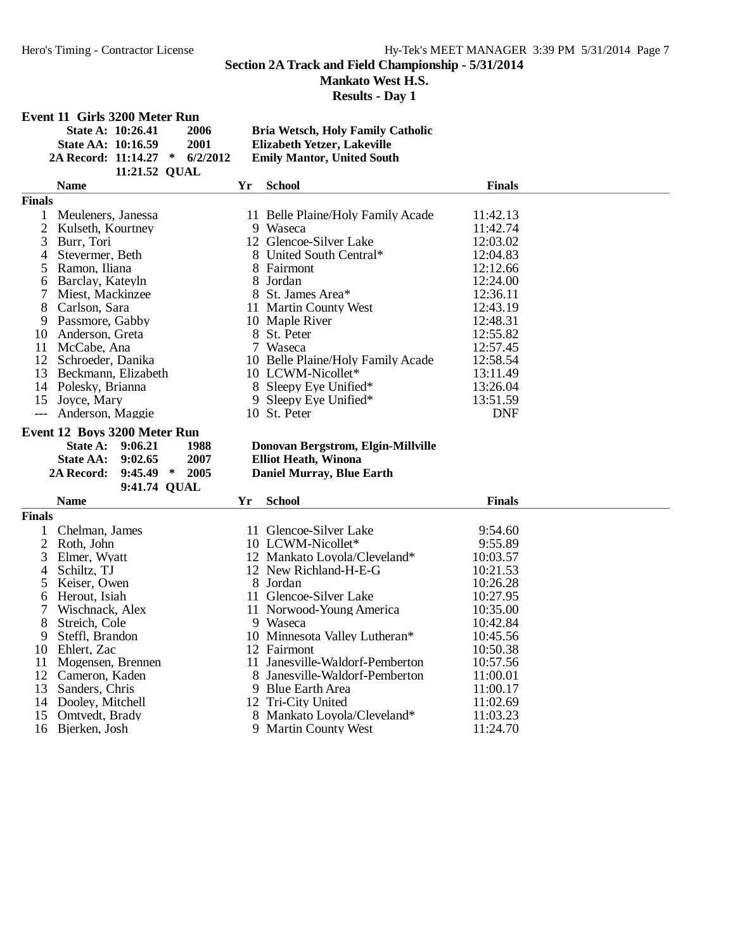### **Mankato West H.S.**

**Results - Day 1**

### **Event 11 Girls 3200 Meter Run**

|                           | State A: 10:26.41 | 2006                               | <b>Bria Wetsch, Holy Family Catholic</b> |
|---------------------------|-------------------|------------------------------------|------------------------------------------|
| <b>State AA: 10:16.59</b> |                   | 2001                               | Elizabeth Yetzer, Lakeville              |
|                           |                   | 2A Record: $11:14.27$ * $6/2/2012$ | <b>Emily Mantor, United South</b>        |
|                           | 11:21.52 OUAL     |                                    |                                          |

# **Name Yr School Finals**

| Finals |                     |    |                                   |            |  |
|--------|---------------------|----|-----------------------------------|------------|--|
|        | Meuleners, Janessa  |    | 11 Belle Plaine/Holy Family Acade | 11:42.13   |  |
|        | Kulseth, Kourtney   | 9. | Waseca                            | 11:42.74   |  |
| 3      | Burr, Tori          |    | 12 Glencoe-Silver Lake            | 12:03.02   |  |
| 4      | Stevermer, Beth     |    | 8 United South Central*           | 12:04.83   |  |
|        | Ramon. Iliana       |    | 8 Fairmont                        | 12:12.66   |  |
| 6      | Barclay, Kateyln    |    | 8 Jordan                          | 12:24.00   |  |
|        | Miest, Mackinzee    |    | 8 St. James Area*                 | 12:36.11   |  |
| 8      | Carlson, Sara       |    | 11 Martin County West             | 12:43.19   |  |
| 9      | Passmore, Gabby     |    | 10 Maple River                    | 12:48.31   |  |
| 10     | Anderson, Greta     |    | 8 St. Peter                       | 12:55.82   |  |
| 11     | McCabe, Ana         |    | 7 Waseca                          | 12:57.45   |  |
| 12     | Schroeder, Danika   |    | 10 Belle Plaine/Holy Family Acade | 12:58.54   |  |
| 13     | Beckmann, Elizabeth |    | 10 LCWM-Nicollet*                 | 13:11.49   |  |
| 14     | Polesky, Brianna    |    | 8 Sleepy Eye Unified*             | 13:26.04   |  |
| 15     | Joyce, Mary         |    | 9 Sleepy Eye Unified*             | 13:51.59   |  |
|        | Anderson, Maggie    |    | 10 St. Peter                      | <b>DNF</b> |  |
|        |                     |    |                                   |            |  |

### **Event 12 Boys 3200 Meter Run**

| State A: 9:06.21  |                  | 1988 |
|-------------------|------------------|------|
| State AA: 9:02.65 |                  | 2007 |
| 2A Record:        | $9:45.49$ * 2005 |      |
|                   | 9:41.74 OUAL     |      |

### **State A: 9:06.21 1988 Donovan Bergstrom, Elgin-Millville State AA: 9:02.65 2007 Elliot Heath, Winona**  $\n *Daniel Murray, Blue Earth*\n$

|               | <b>Name</b>       | Yr | <b>School</b>                             | <b>Finals</b> |
|---------------|-------------------|----|-------------------------------------------|---------------|
| <b>Finals</b> |                   |    |                                           |               |
|               | Chelman, James    |    | 11 Glencoe-Silver Lake                    | 9:54.60       |
|               | Roth. John        |    | 10 LCWM-Nicollet*                         | 9:55.89       |
| 3             | Elmer. Wyatt      |    | 12 Mankato Loyola/Cleveland*              | 10:03.57      |
| 4             | Schiltz. TJ       |    | 12 New Richland-H-E-G                     | 10:21.53      |
|               | Keiser, Owen      |    | 8 Jordan                                  | 10:26.28      |
| 6             | Herout, Isiah     |    | 11 Glencoe-Silver Lake                    | 10:27.95      |
|               | Wischnack, Alex   |    | 11 Norwood-Young America                  | 10:35.00      |
| 8             | Streich, Cole     |    | 9 Waseca                                  | 10:42.84      |
| 9             | Steffl. Brandon   |    | 10 Minnesota Valley Lutheran <sup>*</sup> | 10:45.56      |
| 10            | Ehlert, Zac       |    | 12 Fairmont                               | 10:50.38      |
| 11            | Mogensen, Brennen |    | 11 Janesville-Waldorf-Pemberton           | 10:57.56      |
| 12            | Cameron. Kaden    |    | 8 Janesville-Waldorf-Pemberton            | 11:00.01      |
| 13            | Sanders, Chris    | 9  | Blue Earth Area                           | 11:00.17      |
| 14            | Dooley, Mitchell  |    | 12 Tri-City United                        | 11:02.69      |
| 15            | Omtvedt, Brady    |    | 8 Mankato Lovola/Cleveland*               | 11:03.23      |
| 16            | Bjerken, Josh     |    | 9 Martin County West                      | 11:24.70      |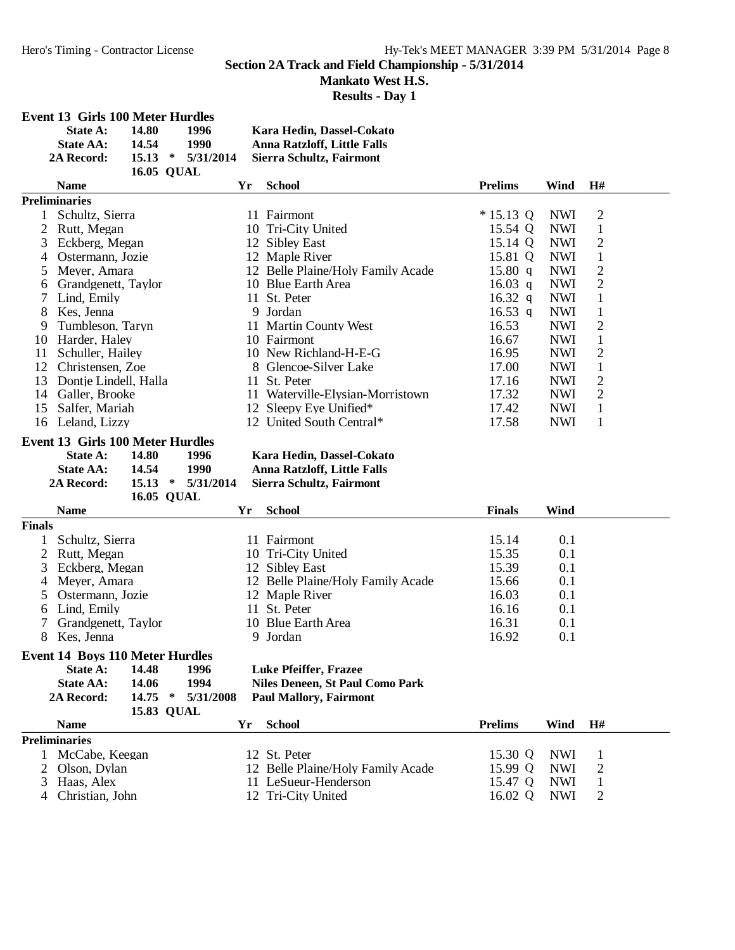### **Mankato West H.S. Results - Day 1**

#### **Event 13 Girls 100 Meter Hurdles**

| <b>State A:</b>  | 14.80             | 1996                | Kara Hedin, Dassel-Cokato          |
|------------------|-------------------|---------------------|------------------------------------|
| <b>State AA:</b> | 14.54             | 1990                | <b>Anna Ratzloff, Little Falls</b> |
| 2A Record:       |                   | $15.13 * 5/31/2014$ | Sierra Schultz, Fairmont           |
|                  | <b>16.05 OUAL</b> |                     |                                    |

# **Name Yr School Prelims Wind H#**

|    | wann                  | . . | pengu                             | т гению    | ,,,,,,,    |   |  |
|----|-----------------------|-----|-----------------------------------|------------|------------|---|--|
|    | Preliminaries         |     |                                   |            |            |   |  |
|    | Schultz, Sierra       | 11  | Fairmont                          | $*15.13$ Q | <b>NWI</b> | 2 |  |
|    | Rutt, Megan           |     | 10 Tri-City United                | 15.54 Q    | <b>NWI</b> |   |  |
| 3  | Eckberg, Megan        |     | 12 Sibley East                    | 15.14 Q    | <b>NWI</b> | 2 |  |
| 4  | Ostermann, Jozie      |     | 12 Maple River                    | 15.81 Q    | <b>NWI</b> |   |  |
|    | Meyer, Amara          |     | 12 Belle Plaine/Holy Family Acade | 15.80 q    | <b>NWI</b> | 2 |  |
| 6  | Grandgenett, Taylor   |     | 10 Blue Earth Area                | 16.03 q    | <b>NWI</b> | 2 |  |
|    | Lind, Emily           |     | 11 St. Peter                      | $16.32$ q  | <b>NWI</b> |   |  |
| 8  | Kes, Jenna            |     | 9 Jordan                          | 16.53 q    | <b>NWI</b> |   |  |
| 9  | Tumbleson, Taryn      |     | 11 Martin County West             | 16.53      | <b>NWI</b> | 2 |  |
| 10 | Harder, Haley         |     | 10 Fairmont                       | 16.67      | <b>NWI</b> |   |  |
| 11 | Schuller, Hailey      |     | 10 New Richland-H-E-G             | 16.95      | <b>NWI</b> | 2 |  |
| 12 | Christensen, Zoe      |     | 8 Glencoe-Silver Lake             | 17.00      | <b>NWI</b> |   |  |
| 13 | Dontje Lindell, Halla | 11. | St. Peter                         | 17.16      | <b>NWI</b> | 2 |  |
| 14 | Galler, Brooke        | 11  | Waterville-Elysian-Morristown     | 17.32      | <b>NWI</b> | 2 |  |
| 15 | Salfer, Mariah        |     | 12 Sleepy Eye Unified*            | 17.42      | <b>NWI</b> |   |  |
| 16 | Leland, Lizzy         |     | 12 United South Central*          | 17.58      | <b>NWI</b> |   |  |

# **Event 13 Girls 100 Meter Hurdles**<br>State A: **14.80** 1996

| State A:         | -14.80 | 1996                | Kar    |
|------------------|--------|---------------------|--------|
| <b>State AA:</b> | 14.54  | 1990                | Anr    |
| 2A Record:       |        | $15.13 * 5/31/2014$ | – Sier |
|                  |        | <b>16.05 QUAL</b>   |        |

### **State A: 14.80 1996 Kara Hedin, Dassel-Cokato State AA: 14.54 1990 Anna Ratzloff, Little Falls**

**2A Record: 15.13 \* 5/31/2014 Sierra Schultz, Fairmont**

|               | <b>Name</b>                            | Yr        | <b>School</b>                          | <b>Finals</b>  | Wind       |    |  |
|---------------|----------------------------------------|-----------|----------------------------------------|----------------|------------|----|--|
| <b>Finals</b> |                                        |           |                                        |                |            |    |  |
|               | Schultz, Sierra                        |           | 11 Fairmont                            | 15.14          | 0.1        |    |  |
|               | Rutt, Megan                            |           | 10 Tri-City United                     | 15.35          | 0.1        |    |  |
| 3             | Eckberg, Megan                         |           | 12 Sibley East                         | 15.39          | 0.1        |    |  |
| 4             | Meyer, Amara                           |           | 12 Belle Plaine/Holy Family Acade      | 15.66          | 0.1        |    |  |
| 5             | Ostermann, Jozie                       |           | 12 Maple River                         | 16.03          | 0.1        |    |  |
| 6             | Lind, Emily                            |           | 11 St. Peter                           | 16.16          | 0.1        |    |  |
|               | Grandgenett, Taylor                    |           | 10 Blue Earth Area                     | 16.31          | 0.1        |    |  |
| 8             | Kes, Jenna                             |           | 9 Jordan                               | 16.92          | 0.1        |    |  |
|               | <b>Event 14 Boys 110 Meter Hurdles</b> |           |                                        |                |            |    |  |
|               | <b>State A:</b><br>14.48               | 1996      | Luke Pfeiffer, Frazee                  |                |            |    |  |
|               | <b>State AA:</b><br>14.06              | 1994      | <b>Niles Deneen, St Paul Como Park</b> |                |            |    |  |
|               | 2A Record:<br>14.75<br>$\ast$          | 5/31/2008 | <b>Paul Mallory, Fairmont</b>          |                |            |    |  |
|               | <b>15.83 QUAL</b>                      |           |                                        |                |            |    |  |
|               | <b>Name</b>                            | Yr        | <b>School</b>                          | <b>Prelims</b> | Wind       | H# |  |
|               | <b>Preliminaries</b>                   |           |                                        |                |            |    |  |
|               | McCabe, Keegan                         |           | 12 St. Peter                           | 15.30 Q        | <b>NWI</b> | 1  |  |
|               | Olson, Dylan                           |           | 12 Belle Plaine/Holy Family Acade      | 15.99 Q        | <b>NWI</b> | 2  |  |
| 3             | Haas, Alex                             |           | 11 LeSueur-Henderson                   | 15.47 Q        | <b>NWI</b> | 1  |  |
| 4             | Christian, John                        |           | 12 Tri-City United                     | 16.02 Q        | <b>NWI</b> | 2  |  |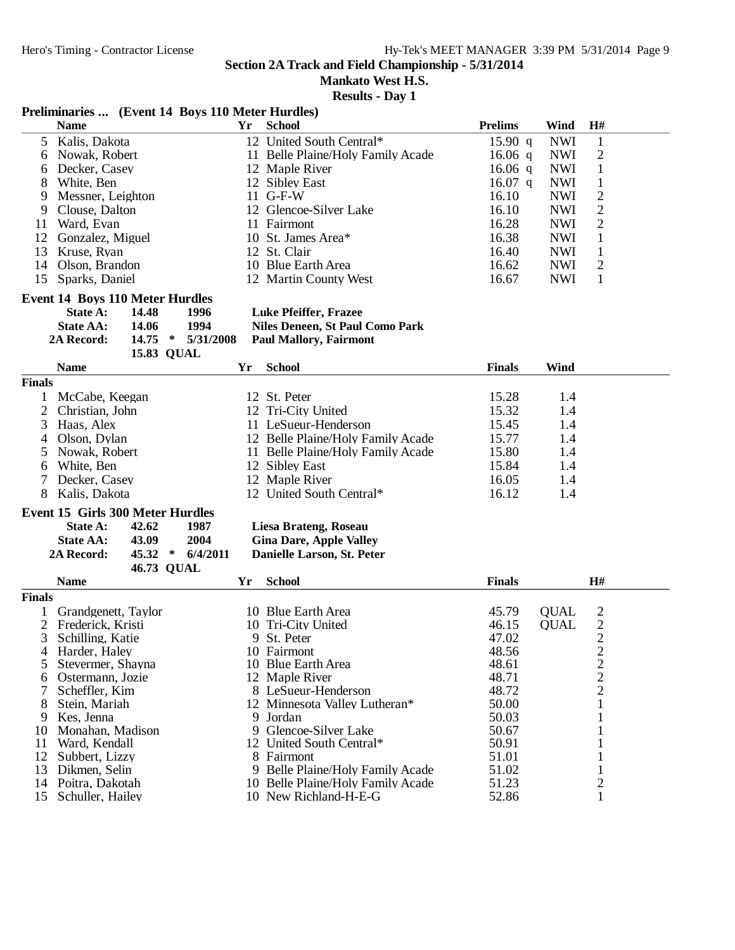# **Mankato West H.S.**

| Preliminaries  (Event 14 Boys 110 Meter Hurdles) | RUSURS - Day 1                         |                |             |                                            |
|--------------------------------------------------|----------------------------------------|----------------|-------------|--------------------------------------------|
| <b>Name</b>                                      | Yr<br><b>School</b>                    | <b>Prelims</b> | Wind        | H#                                         |
| 5 Kalis, Dakota                                  | 12 United South Central*               | 15.90 q        | <b>NWI</b>  | $\mathbf{1}$                               |
| Nowak, Robert<br>6                               | 11 Belle Plaine/Holy Family Acade      | 16.06 $q$      | <b>NWI</b>  | $\mathfrak{2}$                             |
| Decker, Casey<br>6                               | 12 Maple River                         | 16.06 $q$      | <b>NWI</b>  | $\mathbf{1}$                               |
| 8<br>White, Ben                                  | 12 Sibley East                         | $16.07$ q      | <b>NWI</b>  | $\mathbf{1}$                               |
| 9<br>Messner, Leighton                           | 11 G-F-W                               | 16.10          | <b>NWI</b>  | $\overline{c}$                             |
| 9<br>Clouse, Dalton                              | 12 Glencoe-Silver Lake                 | 16.10          | <b>NWI</b>  | $\sqrt{2}$                                 |
| Ward, Evan<br>11                                 | 11 Fairmont                            | 16.28          | <b>NWI</b>  | $\overline{c}$                             |
| Gonzalez, Miguel<br>12                           | 10 St. James Area*                     | 16.38          | <b>NWI</b>  | $\mathbf{1}$                               |
| Kruse, Ryan<br>13                                | 12 St. Clair                           | 16.40          | <b>NWI</b>  | $\mathbf{1}$                               |
| Olson, Brandon<br>14                             | 10 Blue Earth Area                     | 16.62          | <b>NWI</b>  | $\overline{\mathbf{c}}$                    |
| 15<br>Sparks, Daniel                             | 12 Martin County West                  | 16.67          | <b>NWI</b>  | $\mathbf{1}$                               |
| <b>Event 14 Boys 110 Meter Hurdles</b>           |                                        |                |             |                                            |
| <b>State A:</b><br>14.48<br>1996                 | <b>Luke Pfeiffer, Frazee</b>           |                |             |                                            |
| 1994<br><b>State AA:</b><br>14.06                | <b>Niles Deneen, St Paul Como Park</b> |                |             |                                            |
| 2A Record:<br>$14.75$ *<br>5/31/2008             | <b>Paul Mallory, Fairmont</b>          |                |             |                                            |
| <b>15.83 QUAL</b>                                |                                        |                |             |                                            |
| <b>Name</b>                                      | <b>School</b><br>Yr                    | <b>Finals</b>  | Wind        |                                            |
| <b>Finals</b>                                    |                                        |                |             |                                            |
| McCabe, Keegan<br>$\mathbf 1$                    | 12 St. Peter                           | 15.28          | 1.4         |                                            |
| 2<br>Christian, John                             | 12 Tri-City United                     | 15.32          | 1.4         |                                            |
| Haas, Alex<br>3                                  | 11 LeSueur-Henderson                   | 15.45          | 1.4         |                                            |
| Olson, Dylan<br>4                                | 12 Belle Plaine/Holy Family Acade      | 15.77          | 1.4         |                                            |
| Nowak, Robert<br>5                               | 11 Belle Plaine/Holy Family Acade      | 15.80          | 1.4         |                                            |
| White, Ben<br>6                                  | 12 Sibley East                         | 15.84          | 1.4         |                                            |
| Decker, Casey<br>7                               | 12 Maple River                         | 16.05          | 1.4         |                                            |
| 8<br>Kalis, Dakota                               | 12 United South Central*               | 16.12          | 1.4         |                                            |
| <b>Event 15 Girls 300 Meter Hurdles</b>          |                                        |                |             |                                            |
| <b>State A:</b><br>42.62<br>1987                 | Liesa Brateng, Roseau                  |                |             |                                            |
| 2004<br><b>State AA:</b><br>43.09                | <b>Gina Dare, Apple Valley</b>         |                |             |                                            |
| $\ast$<br>6/4/2011<br>2A Record:<br>45.32        | Danielle Larson, St. Peter             |                |             |                                            |
| 46.73 QUAL                                       |                                        |                |             |                                            |
| <b>Name</b>                                      | Yr<br><b>School</b>                    | <b>Finals</b>  |             | H#                                         |
| <b>Finals</b>                                    |                                        |                |             |                                            |
| Grandgenett, Taylor<br>1                         | 10 Blue Earth Area                     | 45.79          | <b>QUAL</b> | $\overline{c}$                             |
| 2 Frederick, Kristi                              | 10 Tri-City United                     | 46.15          | <b>QUAL</b> | $\overline{c}$                             |
| 3<br>Schilling, Katie                            | 9 St. Peter                            | 47.02          |             | $\overline{c}$                             |
| Harder, Haley<br>4                               | 10 Fairmont                            | 48.56          |             | $\begin{array}{c} 2 \\ 2 \\ 2 \end{array}$ |
| Stevermer, Shayna<br>5                           | 10 Blue Earth Area                     | 48.61          |             |                                            |
| Ostermann, Jozie<br>6                            | 12 Maple River                         | 48.71          |             |                                            |
| Scheffler, Kim                                   | 8 LeSueur-Henderson                    | 48.72          |             |                                            |
| Stein, Mariah<br>8                               | 12 Minnesota Valley Lutheran*          | 50.00          |             | 1                                          |
| Kes, Jenna<br>9                                  | 9 Jordan                               | 50.03          |             |                                            |
| Monahan, Madison<br>10                           | Glencoe-Silver Lake<br>9               | 50.67          |             |                                            |
| Ward, Kendall<br>11                              | 12 United South Central*               | 50.91          |             |                                            |
| Subbert, Lizzy<br>12                             | 8 Fairmont                             | 51.01          |             |                                            |
| 13<br>Dikmen, Selin                              | 9 Belle Plaine/Holy Family Acade       | 51.02          |             |                                            |
| Poitra, Dakotah<br>14                            | 10 Belle Plaine/Holy Family Acade      | 51.23          |             | $\overline{c}$                             |
| 15<br>Schuller, Hailey                           | 10 New Richland-H-E-G                  | 52.86          |             | $\mathbf{1}$                               |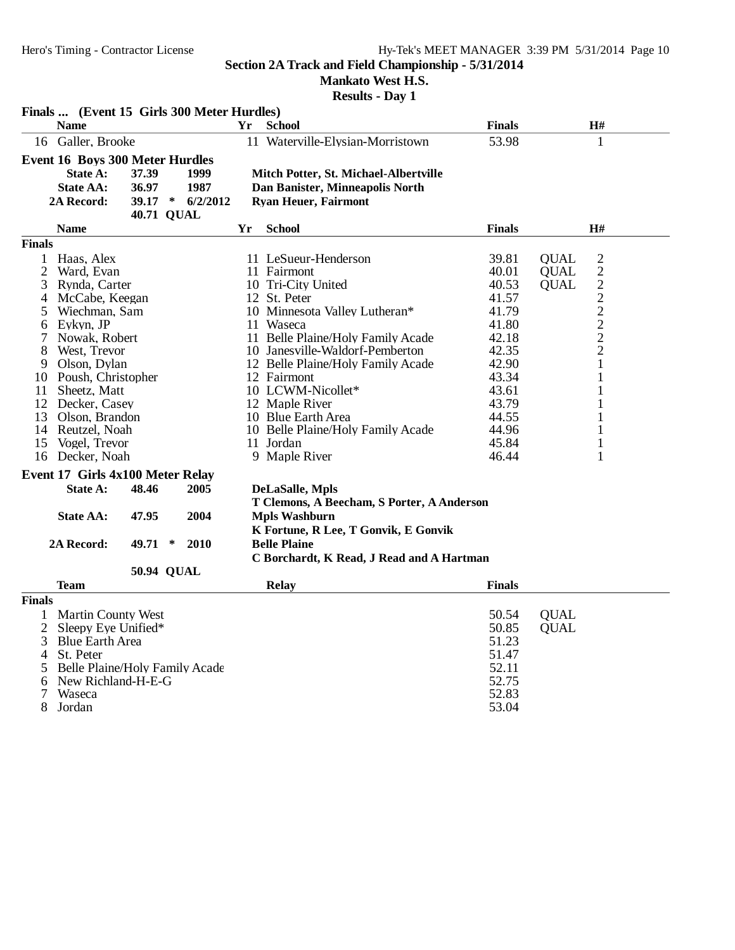### Hy-Tek's MEET MANAGER 3:39 PM 5/31/2014 Page 10

**Section 2A Track and Field Championship - 5/31/2014**

# **Mankato West H.S.**

|                                                                                      | Finals  (Event 15 Girls 300 Meter Hurdles)                                                                                                                                                                                           |                         |                                                         |                           |                                                                                                                                                                                                                                                                                                                          |                                                                                                                            |                                           |                                                                       |
|--------------------------------------------------------------------------------------|--------------------------------------------------------------------------------------------------------------------------------------------------------------------------------------------------------------------------------------|-------------------------|---------------------------------------------------------|---------------------------|--------------------------------------------------------------------------------------------------------------------------------------------------------------------------------------------------------------------------------------------------------------------------------------------------------------------------|----------------------------------------------------------------------------------------------------------------------------|-------------------------------------------|-----------------------------------------------------------------------|
|                                                                                      | <b>Name</b>                                                                                                                                                                                                                          |                         |                                                         | Yr                        | <b>School</b>                                                                                                                                                                                                                                                                                                            | <b>Finals</b>                                                                                                              |                                           | H#                                                                    |
|                                                                                      | 16 Galler, Brooke                                                                                                                                                                                                                    |                         |                                                         |                           | 11 Waterville-Elysian-Morristown                                                                                                                                                                                                                                                                                         | 53.98                                                                                                                      |                                           | $\mathbf{1}$                                                          |
|                                                                                      | <b>Event 16 Boys 300 Meter Hurdles</b><br><b>State A:</b><br><b>State AA:</b><br>2A Record:                                                                                                                                          | 37.39<br>36.97<br>39.17 | 1999<br>1987<br>$\ast$<br>6/2/2012<br><b>40.71 QUAL</b> |                           | Mitch Potter, St. Michael-Albertville<br>Dan Banister, Minneapolis North<br><b>Ryan Heuer, Fairmont</b>                                                                                                                                                                                                                  |                                                                                                                            |                                           |                                                                       |
|                                                                                      | <b>Name</b>                                                                                                                                                                                                                          |                         |                                                         | Yr                        | <b>School</b>                                                                                                                                                                                                                                                                                                            | <b>Finals</b>                                                                                                              |                                           | H#                                                                    |
| <b>Finals</b>                                                                        |                                                                                                                                                                                                                                      |                         |                                                         |                           |                                                                                                                                                                                                                                                                                                                          |                                                                                                                            |                                           |                                                                       |
| 1<br>$\overline{2}$<br>3<br>4<br>5<br>6<br>7<br>8<br>9<br>10<br>11<br>12<br>13<br>14 | Haas, Alex<br>Ward, Evan<br>Rynda, Carter<br>McCabe, Keegan<br>Wiechman, Sam<br>Eykyn, JP<br>Nowak, Robert<br>West, Trevor<br>Olson, Dylan<br>Poush, Christopher<br>Sheetz, Matt<br>Decker, Casey<br>Olson, Brandon<br>Reutzel, Noah |                         |                                                         | 12 St. Peter<br>11 Waseca | 11 LeSueur-Henderson<br>11 Fairmont<br>10 Tri-City United<br>10 Minnesota Valley Lutheran*<br>11 Belle Plaine/Holy Family Acade<br>10 Janesville-Waldorf-Pemberton<br>12 Belle Plaine/Holy Family Acade<br>12 Fairmont<br>10 LCWM-Nicollet*<br>12 Maple River<br>10 Blue Earth Area<br>10 Belle Plaine/Holy Family Acade | 39.81<br>40.01<br>40.53<br>41.57<br>41.79<br>41.80<br>42.18<br>42.35<br>42.90<br>43.34<br>43.61<br>43.79<br>44.55<br>44.96 | <b>QUAL</b><br><b>QUAL</b><br><b>QUAL</b> | $\overline{c}$<br>$\sqrt{2}$<br>$22222$<br>$222$<br>$\mathbf{1}$<br>1 |
| 15                                                                                   | Vogel, Trevor                                                                                                                                                                                                                        |                         |                                                         | 11 Jordan                 |                                                                                                                                                                                                                                                                                                                          | 45.84                                                                                                                      |                                           | 1                                                                     |
|                                                                                      | 16 Decker, Noah                                                                                                                                                                                                                      |                         |                                                         |                           | 9 Maple River                                                                                                                                                                                                                                                                                                            | 46.44                                                                                                                      |                                           | 1                                                                     |
|                                                                                      | Event 17 Girls 4x100 Meter Relay                                                                                                                                                                                                     |                         |                                                         |                           |                                                                                                                                                                                                                                                                                                                          |                                                                                                                            |                                           |                                                                       |
|                                                                                      | <b>State A:</b><br><b>State AA:</b>                                                                                                                                                                                                  | 48.46<br>47.95          | 2005<br>2004                                            |                           | <b>DeLaSalle, Mpls</b><br>T Clemons, A Beecham, S Porter, A Anderson<br><b>Mpls Washburn</b><br>K Fortune, R Lee, T Gonvik, E Gonvik                                                                                                                                                                                     |                                                                                                                            |                                           |                                                                       |
|                                                                                      | 2A Record:                                                                                                                                                                                                                           | 49.71                   | $\ast$<br>2010                                          |                           | <b>Belle Plaine</b>                                                                                                                                                                                                                                                                                                      |                                                                                                                            |                                           |                                                                       |
|                                                                                      |                                                                                                                                                                                                                                      |                         | 50.94 QUAL                                              |                           | C Borchardt, K Read, J Read and A Hartman                                                                                                                                                                                                                                                                                |                                                                                                                            |                                           |                                                                       |
|                                                                                      | Team                                                                                                                                                                                                                                 |                         |                                                         |                           | <b>Relay</b>                                                                                                                                                                                                                                                                                                             | <b>Finals</b>                                                                                                              |                                           |                                                                       |
| <b>Finals</b>                                                                        |                                                                                                                                                                                                                                      |                         |                                                         |                           |                                                                                                                                                                                                                                                                                                                          |                                                                                                                            |                                           |                                                                       |
| 1<br>2<br>3<br>4<br>5<br>6<br>7<br>8                                                 | <b>Martin County West</b><br>Sleepy Eye Unified*<br><b>Blue Earth Area</b><br>St. Peter<br>Belle Plaine/Holy Family Acade<br>New Richland-H-E-G<br>Waseca<br>Jordan                                                                  |                         |                                                         |                           |                                                                                                                                                                                                                                                                                                                          | 50.54<br>50.85<br>51.23<br>51.47<br>52.11<br>52.75<br>52.83<br>53.04                                                       | <b>OUAL</b><br><b>QUAL</b>                |                                                                       |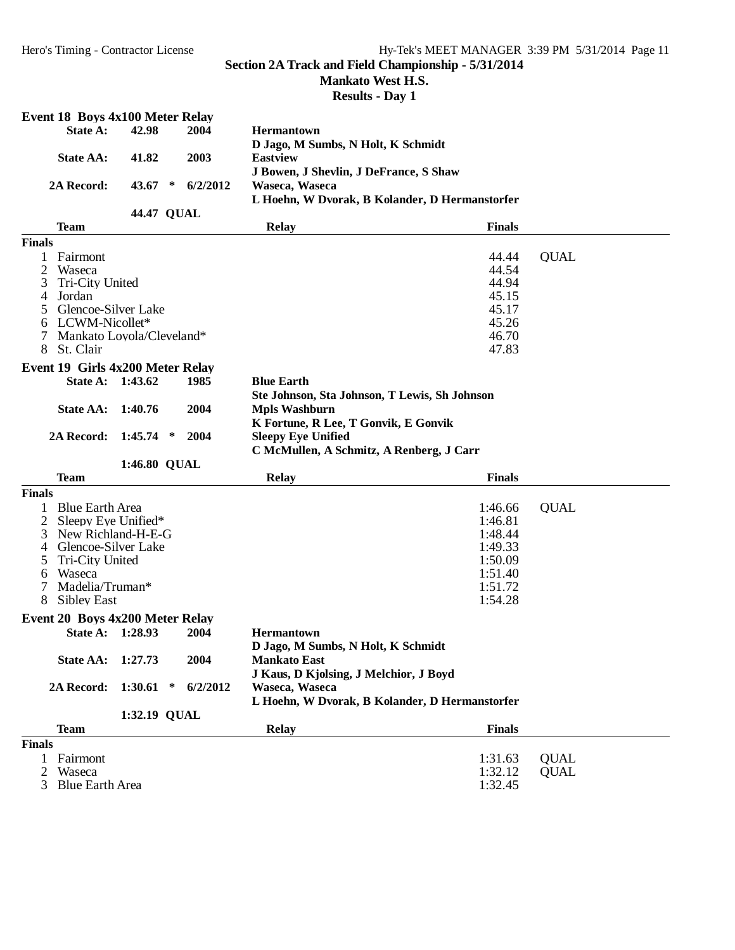# **Mankato West H.S.**

|                | Event 18 Boys 4x100 Meter Relay        |              |                    |                                                |               |             |
|----------------|----------------------------------------|--------------|--------------------|------------------------------------------------|---------------|-------------|
|                | <b>State A:</b>                        | 42.98        | 2004               | <b>Hermantown</b>                              |               |             |
|                |                                        |              |                    | D Jago, M Sumbs, N Holt, K Schmidt             |               |             |
|                | <b>State AA:</b>                       | 41.82        | 2003               | <b>Eastview</b>                                |               |             |
|                |                                        |              |                    | J Bowen, J Shevlin, J DeFrance, S Shaw         |               |             |
|                | 2A Record:                             | 43.67        | $\ast$<br>6/2/2012 | Waseca, Waseca                                 |               |             |
|                |                                        |              |                    | L Hoehn, W Dvorak, B Kolander, D Hermanstorfer |               |             |
|                |                                        | 44.47 QUAL   |                    |                                                |               |             |
|                | <b>Team</b>                            |              |                    | <b>Relay</b>                                   | <b>Finals</b> |             |
| <b>Finals</b>  |                                        |              |                    |                                                |               |             |
| 1              | Fairmont                               |              |                    |                                                | 44.44         | <b>QUAL</b> |
| $\overline{2}$ | Waseca                                 |              |                    |                                                | 44.54         |             |
| 3              | Tri-City United                        |              |                    |                                                | 44.94         |             |
| 4              | Jordan                                 |              |                    |                                                | 45.15         |             |
| 5              | Glencoe-Silver Lake                    |              |                    |                                                | 45.17         |             |
| 6              | LCWM-Nicollet*                         |              |                    |                                                | 45.26         |             |
| 7              | Mankato Loyola/Cleveland*              |              |                    |                                                | 46.70         |             |
| 8              | St. Clair                              |              |                    |                                                | 47.83         |             |
|                |                                        |              |                    |                                                |               |             |
|                | Event 19 Girls 4x200 Meter Relay       |              |                    |                                                |               |             |
|                | <b>State A:</b>                        | 1:43.62      | 1985               | <b>Blue Earth</b>                              |               |             |
|                |                                        |              |                    | Ste Johnson, Sta Johnson, T Lewis, Sh Johnson  |               |             |
|                | <b>State AA:</b>                       | 1:40.76      | 2004               | <b>Mpls Washburn</b>                           |               |             |
|                |                                        |              |                    | K Fortune, R Lee, T Gonvik, E Gonvik           |               |             |
|                | 2A Record:                             | 1:45.74      | 2004<br>$\ast$     | <b>Sleepy Eye Unified</b>                      |               |             |
|                |                                        |              |                    | C McMullen, A Schmitz, A Renberg, J Carr       |               |             |
|                |                                        | 1:46.80 QUAL |                    |                                                |               |             |
|                | <b>Team</b>                            |              |                    | <b>Relay</b>                                   | <b>Finals</b> |             |
| <b>Finals</b>  |                                        |              |                    |                                                |               |             |
| 1              | <b>Blue Earth Area</b>                 |              |                    |                                                | 1:46.66       | <b>QUAL</b> |
| 2              | Sleepy Eye Unified*                    |              |                    |                                                | 1:46.81       |             |
|                | New Richland-H-E-G                     |              |                    |                                                | 1:48.44       |             |
| 4              | Glencoe-Silver Lake                    |              |                    |                                                | 1:49.33       |             |
| 5              | Tri-City United                        |              |                    |                                                | 1:50.09       |             |
| 6              | Waseca                                 |              |                    |                                                | 1:51.40       |             |
| 7              | Madelia/Truman*                        |              |                    |                                                | 1:51.72       |             |
| 8              | <b>Sibley East</b>                     |              |                    |                                                | 1:54.28       |             |
|                | <b>Event 20 Boys 4x200 Meter Relay</b> |              |                    |                                                |               |             |
|                | State A: 1:28.93                       |              | 2004               | <b>Hermantown</b>                              |               |             |
|                |                                        |              |                    | D Jago, M Sumbs, N Holt, K Schmidt             |               |             |
|                | State AA: 1:27.73                      |              | 2004               | <b>Mankato East</b>                            |               |             |
|                |                                        |              |                    | J Kaus, D Kjolsing, J Melchior, J Boyd         |               |             |
|                | 2A Record:                             | 1:30.61      | ∗<br>6/2/2012      | Waseca, Waseca                                 |               |             |
|                |                                        |              |                    | L Hoehn, W Dvorak, B Kolander, D Hermanstorfer |               |             |
|                |                                        |              |                    |                                                |               |             |
|                | <b>Team</b>                            | 1:32.19 QUAL |                    | <b>Relay</b>                                   | <b>Finals</b> |             |
|                |                                        |              |                    |                                                |               |             |
| <b>Finals</b>  |                                        |              |                    |                                                |               |             |
| 1              | Fairmont                               |              |                    |                                                | 1:31.63       | <b>QUAL</b> |
| 2              | Waseca                                 |              |                    |                                                | 1:32.12       | <b>QUAL</b> |
| 3              | <b>Blue Earth Area</b>                 |              |                    |                                                | 1:32.45       |             |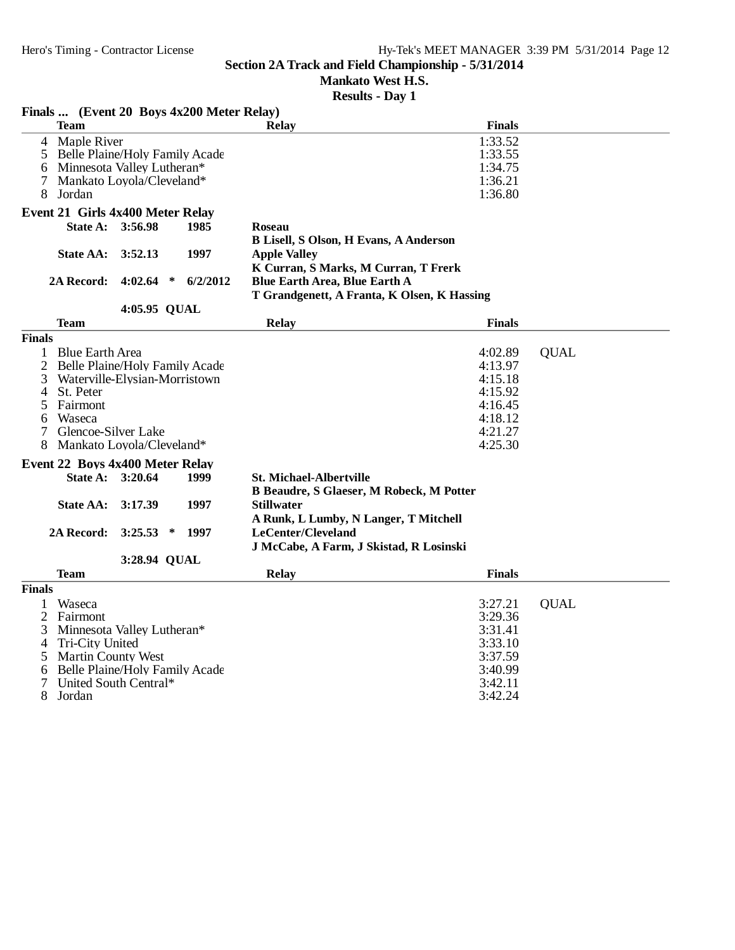**Mankato West H.S.**

| Finals  (Event 20 Boys 4x200 Meter Relay)                                                                                                                                                                                                                                                                                           |                                                                                                                                                 |                                                                                      |             |
|-------------------------------------------------------------------------------------------------------------------------------------------------------------------------------------------------------------------------------------------------------------------------------------------------------------------------------------|-------------------------------------------------------------------------------------------------------------------------------------------------|--------------------------------------------------------------------------------------|-------------|
| <b>Team</b>                                                                                                                                                                                                                                                                                                                         | <b>Relav</b>                                                                                                                                    | <b>Finals</b>                                                                        |             |
| <b>Maple River</b><br>$\overline{4}$<br>Belle Plaine/Holy Family Acade<br>5<br>Minnesota Valley Lutheran*<br>6<br>Mankato Loyola/Cleveland*<br>7<br>8<br>Jordan                                                                                                                                                                     |                                                                                                                                                 | 1:33.52<br>1:33.55<br>1:34.75<br>1:36.21<br>1:36.80                                  |             |
| Event 21 Girls 4x400 Meter Relay                                                                                                                                                                                                                                                                                                    |                                                                                                                                                 |                                                                                      |             |
| 1985<br>State A: 3:56.98                                                                                                                                                                                                                                                                                                            | <b>Roseau</b>                                                                                                                                   |                                                                                      |             |
| <b>State AA:</b><br>3:52.13<br>1997                                                                                                                                                                                                                                                                                                 | <b>B Lisell, S Olson, H Evans, A Anderson</b><br><b>Apple Valley</b>                                                                            |                                                                                      |             |
|                                                                                                                                                                                                                                                                                                                                     | K Curran, S Marks, M Curran, T Frerk                                                                                                            |                                                                                      |             |
| 2A Record:<br>4:02.64<br>$\ast$<br>6/2/2012                                                                                                                                                                                                                                                                                         | <b>Blue Earth Area, Blue Earth A</b>                                                                                                            |                                                                                      |             |
| 4:05.95 QUAL                                                                                                                                                                                                                                                                                                                        | T Grandgenett, A Franta, K Olsen, K Hassing                                                                                                     |                                                                                      |             |
| <b>Team</b>                                                                                                                                                                                                                                                                                                                         | <b>Relay</b>                                                                                                                                    | <b>Finals</b>                                                                        |             |
| <b>Finals</b>                                                                                                                                                                                                                                                                                                                       |                                                                                                                                                 |                                                                                      |             |
| 1 Blue Earth Area<br>$\overline{2}$<br>Belle Plaine/Holy Family Acade<br>Waterville-Elysian-Morristown<br>3<br>St. Peter<br>4<br>Fairmont<br>5<br>Waseca<br>6<br>Glencoe-Silver Lake<br>Mankato Loyola/Cleveland*<br>8<br><b>Event 22 Boys 4x400 Meter Relay</b><br>1999<br>State A: 3:20.64<br>1997<br><b>State AA:</b><br>3:17.39 | <b>St. Michael-Albertville</b><br><b>B Beaudre, S Glaeser, M Robeck, M Potter</b><br><b>Stillwater</b><br>A Runk, L Lumby, N Langer, T Mitchell | 4:02.89<br>4:13.97<br>4:15.18<br>4:15.92<br>4:16.45<br>4:18.12<br>4:21.27<br>4:25.30 | <b>QUAL</b> |
| 3:25.53<br>1997<br>2A Record:<br>$\ast$                                                                                                                                                                                                                                                                                             | LeCenter/Cleveland                                                                                                                              |                                                                                      |             |
|                                                                                                                                                                                                                                                                                                                                     | J McCabe, A Farm, J Skistad, R Losinski                                                                                                         |                                                                                      |             |
| 3:28.94 QUAL                                                                                                                                                                                                                                                                                                                        |                                                                                                                                                 |                                                                                      |             |
| <b>Team</b><br><b>Finals</b>                                                                                                                                                                                                                                                                                                        | <b>Relay</b>                                                                                                                                    | <b>Finals</b>                                                                        |             |
| Waseca<br>1<br>2<br>Fairmont<br>3<br>Minnesota Valley Lutheran*<br>Tri-City United<br>4<br><b>Martin County West</b><br>5<br>Belle Plaine/Holy Family Acade<br>6<br>United South Central*<br>7<br>8<br>Jordan                                                                                                                       |                                                                                                                                                 | 3:27.21<br>3:29.36<br>3:31.41<br>3:33.10<br>3:37.59<br>3:40.99<br>3:42.11<br>3:42.24 | <b>QUAL</b> |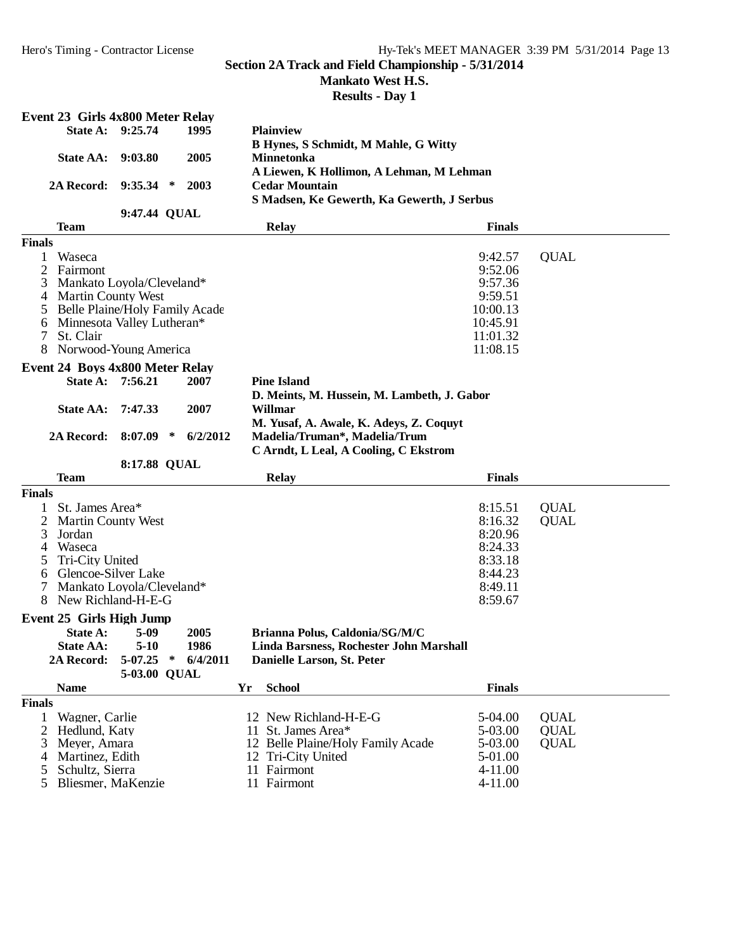# **Mankato West H.S.**

| Event 23 Girls 4x800 Meter Relay                |                                             |                    |             |
|-------------------------------------------------|---------------------------------------------|--------------------|-------------|
| 1995<br><b>State A:</b><br>9:25.74              | <b>Plainview</b>                            |                    |             |
|                                                 | <b>B Hynes, S Schmidt, M Mahle, G Witty</b> |                    |             |
| <b>State AA:</b><br>9:03.80<br>2005             | <b>Minnetonka</b>                           |                    |             |
|                                                 | A Liewen, K Hollimon, A Lehman, M Lehman    |                    |             |
| 2A Record:<br>9:35.34<br>$\ast$<br>2003         | <b>Cedar Mountain</b>                       |                    |             |
| 9:47.44 QUAL                                    | S Madsen, Ke Gewerth, Ka Gewerth, J Serbus  |                    |             |
| <b>Team</b>                                     | <b>Relay</b>                                | <b>Finals</b>      |             |
| <b>Finals</b>                                   |                                             |                    |             |
| Waseca<br>1                                     |                                             | 9:42.57            | <b>QUAL</b> |
| 2 Fairmont                                      |                                             | 9:52.06            |             |
| Mankato Loyola/Cleveland*<br>3                  |                                             | 9:57.36            |             |
| 4 Martin County West                            |                                             | 9:59.51            |             |
| Belle Plaine/Holy Family Acade<br>5             |                                             | 10:00.13           |             |
| Minnesota Valley Lutheran*<br>6                 |                                             | 10:45.91           |             |
| 7<br>St. Clair                                  |                                             | 11:01.32           |             |
| 8<br>Norwood-Young America                      |                                             | 11:08.15           |             |
| <b>Event 24 Boys 4x800 Meter Relay</b>          |                                             |                    |             |
| <b>State A:</b><br>7:56.21<br>2007              | <b>Pine Island</b>                          |                    |             |
|                                                 | D. Meints, M. Hussein, M. Lambeth, J. Gabor |                    |             |
| <b>State AA:</b><br>7:47.33<br>2007             | Willmar                                     |                    |             |
|                                                 | M. Yusaf, A. Awale, K. Adeys, Z. Coquyt     |                    |             |
| 2A Record:<br>8:07.09<br>$\ast$<br>6/2/2012     | Madelia/Truman*, Madelia/Trum               |                    |             |
|                                                 |                                             |                    |             |
|                                                 | C Arndt, L Leal, A Cooling, C Ekstrom       |                    |             |
| 8:17.88 QUAL                                    |                                             |                    |             |
| <b>Team</b>                                     | <b>Relay</b>                                | <b>Finals</b>      |             |
| <b>Finals</b>                                   |                                             |                    |             |
| St. James Area*<br>1                            |                                             | 8:15.51            | <b>QUAL</b> |
| 2<br><b>Martin County West</b><br>3<br>Jordan   |                                             | 8:16.32<br>8:20.96 | <b>QUAL</b> |
| Waseca<br>4                                     |                                             | 8:24.33            |             |
| Tri-City United<br>5                            |                                             | 8:33.18            |             |
| Glencoe-Silver Lake<br>6                        |                                             | 8:44.23            |             |
| 7<br>Mankato Loyola/Cleveland*                  |                                             | 8:49.11            |             |
| New Richland-H-E-G<br>8                         |                                             | 8:59.67            |             |
| Event 25 Girls High Jump                        |                                             |                    |             |
| <b>State A:</b><br>$5-09$<br>2005               | Brianna Polus, Caldonia/SG/M/C              |                    |             |
| <b>State AA:</b><br>$5-10$<br>1986              | Linda Barsness, Rochester John Marshall     |                    |             |
| 6/4/2011<br>2A Record:<br>$5-07.25$ *           | Danielle Larson, St. Peter                  |                    |             |
| 5-03.00 QUAL                                    |                                             |                    |             |
| <b>Name</b>                                     | <b>School</b><br>Yr                         | <b>Finals</b>      |             |
| <b>Finals</b>                                   |                                             |                    |             |
| Wagner, Carlie<br>1                             | 12 New Richland-H-E-G                       | 5-04.00            | <b>QUAL</b> |
| $\overline{2}$<br>Hedlund, Katy                 | 11 St. James Area*                          | 5-03.00            | <b>QUAL</b> |
| 3<br>Meyer, Amara                               | 12 Belle Plaine/Holy Family Acade           | 5-03.00            | <b>QUAL</b> |
| Martinez, Edith<br>4                            | 12 Tri-City United                          | 5-01.00            |             |
| Schultz, Sierra<br>5<br>Bliesmer, MaKenzie<br>5 | 11 Fairmont<br>11 Fairmont                  | 4-11.00<br>4-11.00 |             |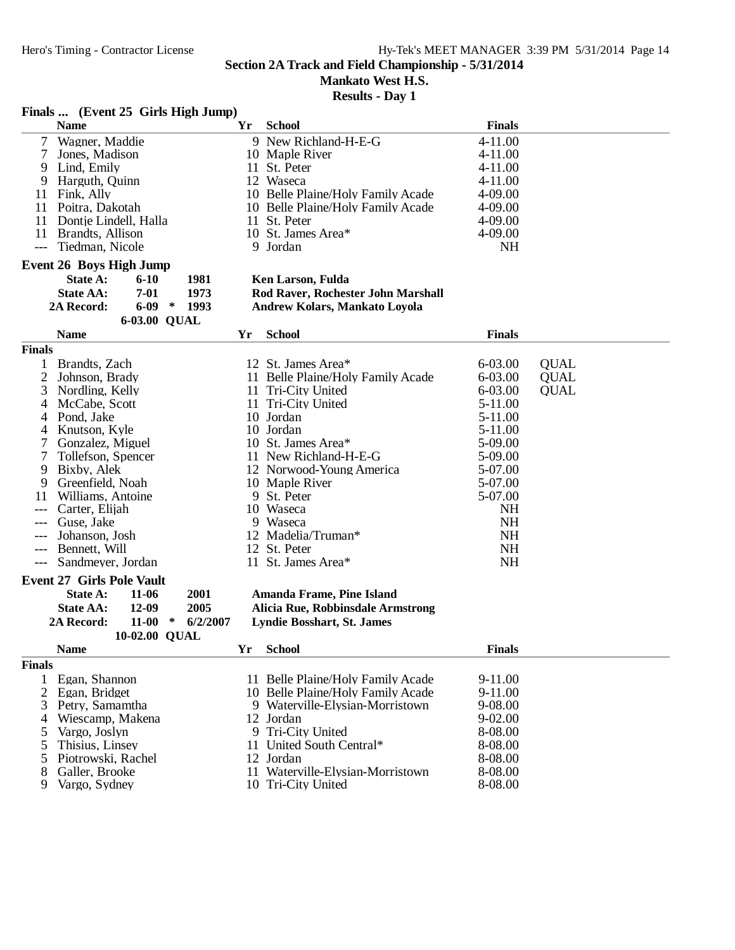**Mankato West H.S.**

|               | Finals  (Event 25 Girls High Jump) |          |    |                                          |               |             |
|---------------|------------------------------------|----------|----|------------------------------------------|---------------|-------------|
|               | <b>Name</b>                        |          | Yr | <b>School</b>                            | <b>Finals</b> |             |
|               | Wagner, Maddie                     |          |    | 9 New Richland-H-E-G                     | 4-11.00       |             |
| 7             | Jones, Madison                     |          |    | 10 Maple River                           | 4-11.00       |             |
| 9             | Lind, Emily                        |          |    | 11 St. Peter                             | 4-11.00       |             |
| 9             | Harguth, Quinn                     |          |    | 12 Waseca                                | 4-11.00       |             |
| 11            | Fink, Ally                         |          |    | 10 Belle Plaine/Holy Family Acade        | 4-09.00       |             |
| 11            | Poitra, Dakotah                    |          |    | 10 Belle Plaine/Holy Family Acade        | 4-09.00       |             |
| 11            | Dontje Lindell, Halla              |          |    | 11 St. Peter                             | 4-09.00       |             |
| 11            | Brandts, Allison                   |          |    | 10 St. James Area*                       | 4-09.00       |             |
| $---$         | Tiedman, Nicole                    |          |    | 9 Jordan                                 | <b>NH</b>     |             |
|               | Event 26 Boys High Jump            |          |    |                                          |               |             |
|               | <b>State A:</b><br>$6 - 10$        | 1981     |    | Ken Larson, Fulda                        |               |             |
|               | <b>State AA:</b><br>7-01           | 1973     |    | Rod Raver, Rochester John Marshall       |               |             |
|               | $6 - 09$<br>2A Record:<br>$\ast$   | 1993     |    | Andrew Kolars, Mankato Loyola            |               |             |
|               | 6-03.00 QUAL                       |          |    |                                          |               |             |
|               | <b>Name</b>                        |          | Yr | <b>School</b>                            | <b>Finals</b> |             |
| <b>Finals</b> |                                    |          |    |                                          |               |             |
|               | Brandts, Zach                      |          |    | 12 St. James Area*                       | 6-03.00       | <b>QUAL</b> |
| 2             | Johnson, Brady                     |          |    | 11 Belle Plaine/Holy Family Acade        | 6-03.00       | <b>QUAL</b> |
| 3             | Nordling, Kelly                    |          |    | 11 Tri-City United                       | 6-03.00       | <b>QUAL</b> |
| 4             | McCabe, Scott                      |          |    | 11 Tri-City United                       | 5-11.00       |             |
| 4             | Pond, Jake                         |          |    | 10 Jordan                                | 5-11.00       |             |
| 4             | Knutson, Kyle                      |          |    | 10 Jordan                                | 5-11.00       |             |
|               | Gonzalez, Miguel                   |          |    | 10 St. James Area*                       | 5-09.00       |             |
| 7             | Tollefson, Spencer                 |          |    | 11 New Richland-H-E-G                    | 5-09.00       |             |
| 9             | Bixby, Alek                        |          |    | 12 Norwood-Young America                 | 5-07.00       |             |
| 9             | Greenfield, Noah                   |          |    | 10 Maple River                           | 5-07.00       |             |
| 11            | Williams, Antoine                  |          |    | 9 St. Peter                              | 5-07.00       |             |
|               | Carter, Elijah                     |          |    | 10 Waseca                                | <b>NH</b>     |             |
| $---$         | Guse, Jake                         |          |    | 9 Waseca                                 | <b>NH</b>     |             |
|               | Johanson, Josh                     |          |    | 12 Madelia/Truman*                       | <b>NH</b>     |             |
| $---$         | Bennett, Will                      |          |    | 12 St. Peter                             | <b>NH</b>     |             |
| ---           | Sandmeyer, Jordan                  |          |    | 11 St. James Area*                       | <b>NH</b>     |             |
|               | <b>Event 27 Girls Pole Vault</b>   |          |    |                                          |               |             |
|               | <b>State A:</b><br>11-06           | 2001     |    | Amanda Frame, Pine Island                |               |             |
|               | <b>State AA:</b><br>12-09          | 2005     |    | <b>Alicia Rue, Robbinsdale Armstrong</b> |               |             |
|               | 2A Record:<br>$11 - 00$<br>$\ast$  | 6/2/2007 |    | <b>Lyndie Bosshart, St. James</b>        |               |             |
|               | 10-02.00 QUAL                      |          |    |                                          |               |             |
|               | <b>Name</b>                        |          | Yr | <b>School</b>                            | <b>Finals</b> |             |
| <b>Finals</b> |                                    |          |    |                                          |               |             |
| 1             | Egan, Shannon                      |          |    | 11 Belle Plaine/Holy Family Acade        | 9-11.00       |             |
| 2             | Egan, Bridget                      |          |    | 10 Belle Plaine/Holy Family Acade        | 9-11.00       |             |
| 3             | Petry, Samamtha                    |          |    | 9 Waterville-Elysian-Morristown          | 9-08.00       |             |
| 4             | Wiescamp, Makena                   |          |    | 12 Jordan                                | $9 - 02.00$   |             |
| 5             | Vargo, Joslyn                      |          | 9  | Tri-City United                          | 8-08.00       |             |
| 5             | Thisius, Linsey                    |          |    | 11 United South Central*                 | 8-08.00       |             |
| 5             | Piotrowski, Rachel                 |          |    | 12 Jordan                                | 8-08.00       |             |
| 8             | Galler, Brooke                     |          |    | 11 Waterville-Elysian-Morristown         | 8-08.00       |             |
| 9             | Vargo, Sydney                      |          |    | 10 Tri-City United                       | 8-08.00       |             |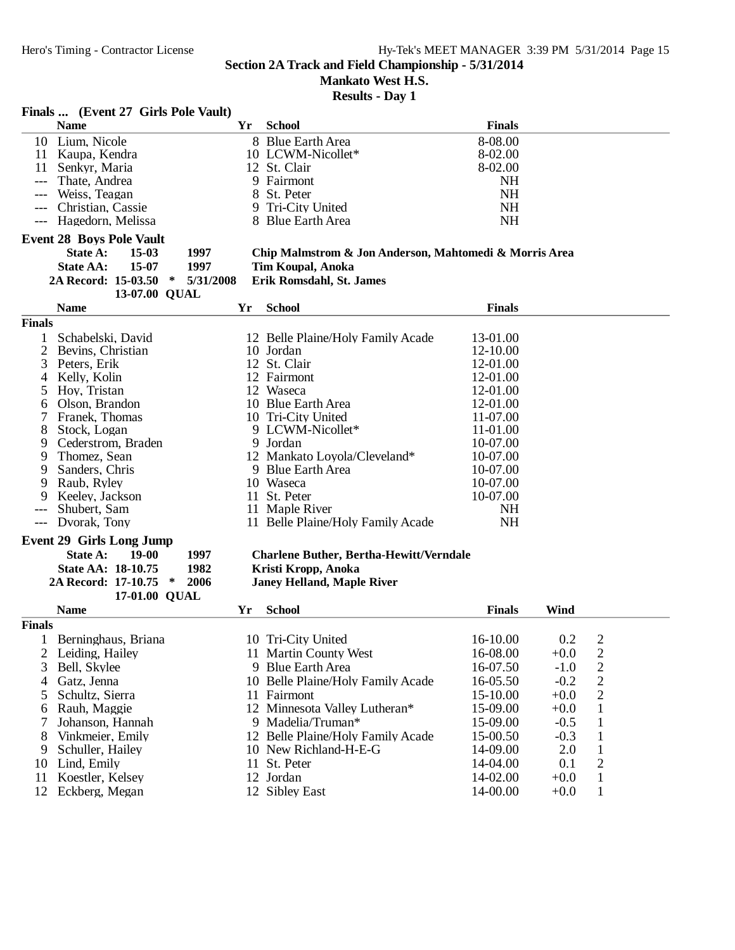#### Hero's Timing - Contractor License Hy-Tek's MEET MANAGER 3:39 PM 5/31/2014 Page 15

**Section 2A Track and Field Championship - 5/31/2014**

# **Mankato West H.S.**

**Results - Day 1**

### **Finals ... (Event 27 Girls Pole Vault) Name Yr School Finals** 10 Lium, Nicole 8 Blue Earth Area 8-08.00 11 Kaupa, Kendra 10 LCWM-Nicollet\* 8-02.00 11 Senkyr, Maria 12 St. Clair 8-02.00 --- Thate, Andrea 9 Fairmont NH Veiss, Teagan 8 St. Peter<br>
Christian, Cassie 9 Tri-City United --- Christian, Cassie 9 Tri-City United NH --- Hagedorn, Melissa 8 Blue Earth Area NH **Event 28 Boys Pole Vault State A: 15-03 1997 Chip Malmstrom & Jon Anderson, Mahtomedi & Morris Area State AA: 15-07 1997 Tim Koupal, Anoka 2A Record: 15-03.50 \* 5/31/2008 Erik Romsdahl, St. James** 13-07.00 QUAL **Name Yr School Finals Finals** 1 Schabelski, David 12 Belle Plaine/Holy Family Acade 13-01.00 2 Bevins, Christian 10 Jordan 12 12-10.00<br>
2 Peters, Erik 12 St. Clair 12-01.00 3 Peters, Erik 12 St. Clair<br>4 Kelly. Kolin 12 Fairmont 4 Kelly, Kolin 12 Fairmont 12-01.00<br>5 Hoy, Tristan 12 Waseca 12-01.00 5 Hoy, Tristan 12 Waseca 12 Hoy, Tristan 12-01.00<br>
5 Hoy, Tristan 12 Hoy 12 Waseca 12-01.00 France, Brandon 10 Blue Earth Area<br>France, Thomas 10 Tri-City United 7 Franek, Thomas 10 Tri-City United 11-07.00<br>
8 Stock, Logan 9 LCWM-Nicollet\* 11-01.00 8 Stock, Logan 9 LCWM-Nicollet<sup>\*</sup> 11-01.00<br>9 Cederstrom, Braden 9 Jordan 10-07.00 9 Cederstrom, Braden 9 Jordan 10-07.00<br>9 Thomez, Sean 12 Mankato Lovola/Cleveland\* 10-07.00 9 Thomez, Sean 12 Mankato Loyola/Cleveland\* 10-07.00<br>9 Sanders, Chris 9 Blue Earth Area 10-07.00 9 Sanders, Chris 9 Blue Earth Area 10-07.00<br>9 Raub, Ryley 10 Waseca 10-07.00 Paub, Ryley 10 Waseca 10 Eeley, Jackson 11 St. Peter 9 Keeley, Jackson 11 St. Peter 10-07.00 --- Shubert, Sam 11 Maple River NH 11 Belle Plaine/Holy Family Acade NH **Event 29 Girls Long Jump**<br>State A: 19-00 **State A: 19-00 1997 Charlene Buther, Bertha-Hewitt/Verndale State AA: 18-10.75 1982 Kristi Kropp, Anoka 2A Record: 17-10.75 \* 2006 Janey Helland, Maple River 17-01.00 OUAL Name Yr School Finals Wind Finals** 1 Berninghaus, Briana 10 Tri-City United 16-10.00 0.2 2<br>2 Leiding, Hailey 11 Martin County West 16-08.00 +0.0 2 11 Martin County West 16-08.00 +0.0 2<br>
9 Blue Earth Area 16-07.50 -1.0 2 3 Bell, Skylee 9 Blue Earth Area 16-07.50 -1.0 2 4 Gatz, Jenna 10 Belle Plaine/Holy Family Acade 16-05.50 -0.2 2 5 Schultz, Sierra 6 Rauh, Maggie 12 Minnesota Valley Lutheran\* 15-09.00 +0.0 1 7 Johanson, Hannah 9 Madelia/Truman\* 15-09.00 -0.5 1 8 Vinkmeier, Emily 12 Belle Plaine/Holy Family Acade 15-00.50 -0.3 1 9 Schuller, Hailey 10 New Richland-H-E-G 14-09.00 2.0 1 10 Lind, Emily 11 St. Peter 14-04.00 0.1 2<br>11 Koestler, Kelsey 12 Jordan 14-02.00 +0.0 1 11 Koestler, Kelsey 12 Jordan 14-02.00 +0.0 1<br>12 Sibley East 14-00.00 +0.0 1

12 Eckberg, Megan 12 Sibley East 14-00.00 +0.0 1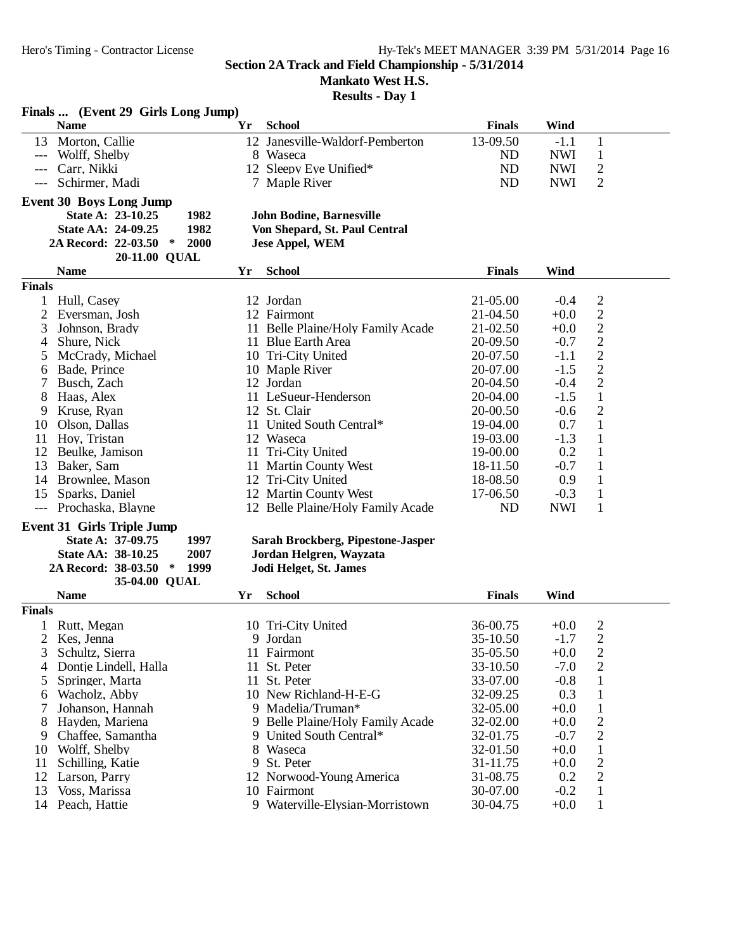### Hero's Timing - Contractor License Hy-Tek's MEET MANAGER 3:39 PM 5/31/2014 Page 16

**Section 2A Track and Field Championship - 5/31/2014**

**Mankato West H.S.**

| Finals  (Event 29 Girls Long Jump) |                       |    |                                   |                |            |                |  |  |  |
|------------------------------------|-----------------------|----|-----------------------------------|----------------|------------|----------------|--|--|--|
| <b>Name</b>                        |                       | Yr | <b>School</b>                     | <b>Finals</b>  | Wind       |                |  |  |  |
| Morton, Callie<br>13               |                       |    | 12 Janesville-Waldorf-Pemberton   | 13-09.50       | $-1.1$     | $\mathbf{1}$   |  |  |  |
| Wolff, Shelby<br>$---$             |                       |    | 8 Waseca                          | N <sub>D</sub> | <b>NWI</b> | $\mathbf{1}$   |  |  |  |
| Carr, Nikki                        |                       |    | 12 Sleepy Eye Unified*            | ND             | <b>NWI</b> | $\mathfrak{2}$ |  |  |  |
| Schirmer, Madi                     |                       |    | 7 Maple River                     | <b>ND</b>      | <b>NWI</b> | $\overline{2}$ |  |  |  |
| <b>Event 30 Boys Long Jump</b>     |                       |    |                                   |                |            |                |  |  |  |
| State A: 23-10.25                  | 1982                  |    | <b>John Bodine, Barnesville</b>   |                |            |                |  |  |  |
| State AA: 24-09.25                 | 1982                  |    | Von Shepard, St. Paul Central     |                |            |                |  |  |  |
| 2A Record: 22-03.50                | <b>2000</b><br>$\ast$ |    | <b>Jese Appel, WEM</b>            |                |            |                |  |  |  |
| 20-11.00 QUAL                      |                       |    |                                   |                |            |                |  |  |  |
| <b>Name</b>                        |                       | Yr | <b>School</b>                     | <b>Finals</b>  | Wind       |                |  |  |  |
| <b>Finals</b>                      |                       |    |                                   |                |            |                |  |  |  |
| Hull, Casey<br>1                   |                       |    | 12 Jordan                         | 21-05.00       | $-0.4$     | $\overline{c}$ |  |  |  |
| 2<br>Eversman, Josh                |                       |    | 12 Fairmont                       | 21-04.50       | $+0.0$     | $\overline{c}$ |  |  |  |
| 3<br>Johnson, Brady                |                       |    | 11 Belle Plaine/Holy Family Acade | 21-02.50       | $+0.0$     | $\sqrt{2}$     |  |  |  |
| Shure, Nick<br>4                   |                       |    | 11 Blue Earth Area                | 20-09.50       | $-0.7$     | $\sqrt{2}$     |  |  |  |
| McCrady, Michael<br>5              |                       |    | 10 Tri-City United                | 20-07.50       | $-1.1$     | $\overline{c}$ |  |  |  |
| Bade, Prince<br>6                  |                       |    | 10 Maple River                    | 20-07.00       | $-1.5$     | $\overline{2}$ |  |  |  |
| Busch, Zach                        |                       |    | 12 Jordan                         | 20-04.50       | $-0.4$     | $\sqrt{2}$     |  |  |  |
| 8<br>Haas, Alex                    |                       |    | 11 LeSueur-Henderson              | 20-04.00       | $-1.5$     | $\mathbf{1}$   |  |  |  |
| Kruse, Ryan<br>9                   |                       |    | 12 St. Clair                      | 20-00.50       | $-0.6$     | $\mathfrak{2}$ |  |  |  |
| 10<br>Olson, Dallas                |                       |    | 11 United South Central*          | 19-04.00       | 0.7        | $\mathbf{1}$   |  |  |  |
| 11<br>Hoy, Tristan                 |                       |    | 12 Waseca                         | 19-03.00       | $-1.3$     | $\mathbf{1}$   |  |  |  |
| 12<br>Beulke, Jamison              |                       |    | 11 Tri-City United                | 19-00.00       | 0.2        | $\mathbf{1}$   |  |  |  |
| 13<br>Baker, Sam                   |                       |    | 11 Martin County West             | 18-11.50       | $-0.7$     | $\mathbf{1}$   |  |  |  |
| Brownlee, Mason<br>14              |                       |    | 12 Tri-City United                | 18-08.50       | 0.9        | $\mathbf{1}$   |  |  |  |
| 15                                 |                       |    | 12 Martin County West             | 17-06.50       | $-0.3$     |                |  |  |  |
| Sparks, Daniel                     |                       |    |                                   |                |            | $\mathbf{1}$   |  |  |  |
| Prochaska, Blayne<br>$---$         |                       |    | 12 Belle Plaine/Holy Family Acade | <b>ND</b>      | <b>NWI</b> | $\mathbf{1}$   |  |  |  |
| <b>Event 31 Girls Triple Jump</b>  |                       |    |                                   |                |            |                |  |  |  |
| State A: 37-09.75                  | 1997                  |    | Sarah Brockberg, Pipestone-Jasper |                |            |                |  |  |  |
| State AA: 38-10.25                 | 2007                  |    | Jordan Helgren, Wayzata           |                |            |                |  |  |  |
| 2A Record: 38-03.50                | ∗<br>- 1999           |    | Jodi Helget, St. James            |                |            |                |  |  |  |
|                                    | 35-04.00 QUAL         |    |                                   |                |            |                |  |  |  |
| <b>Name</b>                        |                       | Yr | <b>School</b>                     | <b>Finals</b>  | Wind       |                |  |  |  |
| <b>Finals</b>                      |                       |    |                                   |                |            |                |  |  |  |
| Rutt, Megan<br>$\mathbf{1}$        |                       |    | 10 Tri-City United                | 36-00.75       | $+0.0$     | 2              |  |  |  |
| 2 Kes, Jenna                       |                       |    | 9 Jordan                          | 35-10.50       | $-1.7$     | 2              |  |  |  |
| Schultz, Sierra                    |                       |    | 11 Fairmont                       | 35-05.50       | $+0.0$     | $\overline{c}$ |  |  |  |
| Dontje Lindell, Halla<br>4         |                       |    | 11 St. Peter                      | 33-10.50       | $-7.0$     | 2              |  |  |  |
| Springer, Marta<br>5               |                       |    | 11 St. Peter                      | 33-07.00       | $-0.8$     | $\mathbf{1}$   |  |  |  |
| Wacholz, Abby<br>6                 |                       |    | 10 New Richland-H-E-G             | 32-09.25       | 0.3        | $\mathbf{1}$   |  |  |  |
| Johanson, Hannah<br>7              |                       |    | 9 Madelia/Truman*                 | 32-05.00       | $+0.0$     | $\mathbf{1}$   |  |  |  |
| 8<br>Hayden, Mariena               |                       |    | 9 Belle Plaine/Holy Family Acade  | 32-02.00       | $+0.0$     | $\overline{c}$ |  |  |  |
| Chaffee, Samantha<br>9             |                       |    | 9 United South Central*           | 32-01.75       | $-0.7$     | $\overline{c}$ |  |  |  |
| Wolff, Shelby<br>10                |                       |    | 8 Waseca                          | 32-01.50       | $+0.0$     | $\mathbf{1}$   |  |  |  |
| 11<br>Schilling, Katie             |                       |    | 9 St. Peter                       | 31-11.75       | $+0.0$     | $\overline{c}$ |  |  |  |
| 12<br>Larson, Parry                |                       |    | 12 Norwood-Young America          | 31-08.75       | 0.2        | $\mathfrak{2}$ |  |  |  |
| Voss, Marissa<br>13                |                       |    | 10 Fairmont                       | 30-07.00       | $-0.2$     | $\mathbf{1}$   |  |  |  |
| 14 Peach, Hattie                   |                       |    | 9 Waterville-Elysian-Morristown   | 30-04.75       | $+0.0$     | $\mathbf{1}$   |  |  |  |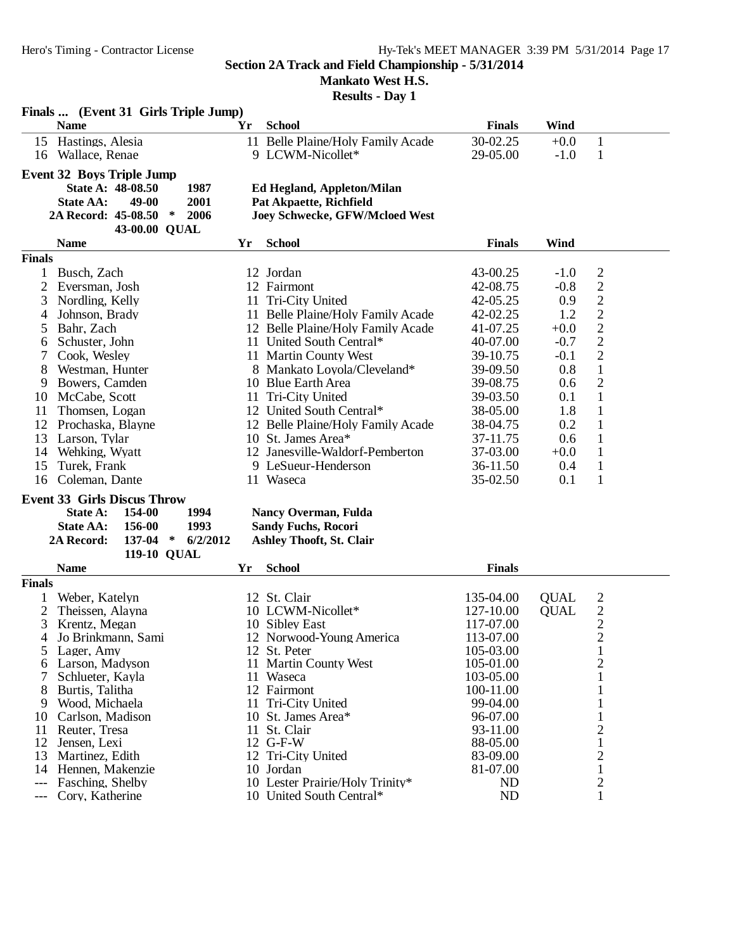**Mankato West H.S.**

| Finals  (Event 31 Girls Triple Jump)                          |                                       |                        |             |                                |  |  |  |  |
|---------------------------------------------------------------|---------------------------------------|------------------------|-------------|--------------------------------|--|--|--|--|
| <b>Name</b>                                                   | <b>School</b><br>Yr                   | <b>Finals</b>          | Wind        |                                |  |  |  |  |
| Hastings, Alesia<br>15                                        | 11 Belle Plaine/Holy Family Acade     | 30-02.25               | $+0.0$      | $\mathbf{1}$                   |  |  |  |  |
| 16 Wallace, Renae                                             | 9 LCWM-Nicollet*                      | 29-05.00               | $-1.0$      | $\mathbf{1}$                   |  |  |  |  |
|                                                               |                                       |                        |             |                                |  |  |  |  |
| <b>Event 32 Boys Triple Jump</b><br>State A: 48-08.50<br>1987 | Ed Hegland, Appleton/Milan            |                        |             |                                |  |  |  |  |
| 49-00<br><b>State AA:</b><br>2001                             | Pat Akpaette, Richfield               |                        |             |                                |  |  |  |  |
| $\ast$<br>2A Record: 45-08.50<br>2006                         | <b>Joey Schwecke, GFW/Mcloed West</b> |                        |             |                                |  |  |  |  |
| 43-00.00 QUAL                                                 |                                       |                        |             |                                |  |  |  |  |
| <b>Name</b>                                                   | <b>School</b><br>Yr                   | <b>Finals</b>          | Wind        |                                |  |  |  |  |
| <b>Finals</b>                                                 |                                       |                        |             |                                |  |  |  |  |
| 1<br>Busch, Zach                                              | 12 Jordan                             | 43-00.25               | $-1.0$      | 2                              |  |  |  |  |
| $\overline{2}$<br>Eversman, Josh                              | 12 Fairmont                           | 42-08.75               | $-0.8$      | $\mathbf{2}$                   |  |  |  |  |
| 3<br>Nordling, Kelly                                          | 11 Tri-City United                    | 42-05.25               | 0.9         | $\boldsymbol{2}$               |  |  |  |  |
| Johnson, Brady<br>4                                           | 11 Belle Plaine/Holy Family Acade     | 42-02.25               | 1.2         | $\sqrt{2}$                     |  |  |  |  |
| Bahr, Zach<br>5                                               | 12 Belle Plaine/Holy Family Acade     | 41-07.25               | $+0.0$      | $\overline{c}$                 |  |  |  |  |
| Schuster, John<br>6                                           | 11 United South Central*              | 40-07.00               | $-0.7$      | $\overline{c}$                 |  |  |  |  |
| 7<br>Cook, Wesley                                             | 11 Martin County West                 | 39-10.75               | $-0.1$      | $\sqrt{2}$                     |  |  |  |  |
| 8<br>Westman, Hunter                                          | 8 Mankato Loyola/Cleveland*           | 39-09.50               | 0.8         | $\,1$                          |  |  |  |  |
| Bowers, Camden<br>9                                           | 10 Blue Earth Area                    | 39-08.75               | 0.6         | $\mathfrak{2}$                 |  |  |  |  |
| 10<br>McCabe, Scott                                           | 11 Tri-City United                    | 39-03.50               | 0.1         | $\mathbf{1}$                   |  |  |  |  |
| 11<br>Thomsen, Logan                                          | 12 United South Central*              | 38-05.00               | 1.8         | $\mathbf{1}$                   |  |  |  |  |
| 12<br>Prochaska, Blayne                                       | 12 Belle Plaine/Holy Family Acade     | 38-04.75               | 0.2         | $\mathbf{1}$                   |  |  |  |  |
| 13<br>Larson, Tylar                                           | 10 St. James Area*                    | 37-11.75               | 0.6         | $\mathbf{1}$                   |  |  |  |  |
| 14<br>Wehking, Wyatt                                          | 12 Janesville-Waldorf-Pemberton       | 37-03.00               | $+0.0$      |                                |  |  |  |  |
| 15                                                            | 9 LeSueur-Henderson                   | 36-11.50               | 0.4         | $\mathbf{1}$                   |  |  |  |  |
| Turek, Frank<br>16<br>Coleman, Dante                          | 11 Waseca                             | 35-02.50               | 0.1         | $\mathbf{1}$<br>$\mathbf{1}$   |  |  |  |  |
|                                                               |                                       |                        |             |                                |  |  |  |  |
| <b>Event 33 Girls Discus Throw</b>                            |                                       |                        |             |                                |  |  |  |  |
| <b>State A:</b><br>154-00<br>1994                             | <b>Nancy Overman, Fulda</b>           |                        |             |                                |  |  |  |  |
| <b>State AA:</b><br>156-00<br>1993                            | <b>Sandy Fuchs, Rocori</b>            |                        |             |                                |  |  |  |  |
| $*$ 6/2/2012<br>2A Record:<br>137-04                          | <b>Ashley Thooft, St. Clair</b>       |                        |             |                                |  |  |  |  |
| <b>119-10 QUAL</b>                                            |                                       |                        |             |                                |  |  |  |  |
| <b>Name</b>                                                   | <b>School</b><br>Yr                   | <b>Finals</b>          |             |                                |  |  |  |  |
| <b>Finals</b>                                                 |                                       |                        |             |                                |  |  |  |  |
| Weber, Katelyn<br>1                                           | 12 St. Clair                          | 135-04.00              | <b>OUAL</b> | $\overline{\mathbf{c}}$        |  |  |  |  |
| 2<br>Theissen, Alayna                                         | 10 LCWM-Nicollet*                     | 127-10.00              | <b>QUAL</b> | $\frac{2}{2}$                  |  |  |  |  |
| 3<br>Krentz, Megan                                            | 10 Sibley East                        | 117-07.00              |             |                                |  |  |  |  |
| $\overline{4}$<br>Jo Brinkmann, Sami                          | 12 Norwood-Young America              | 113-07.00              |             | $\overline{c}$                 |  |  |  |  |
| 5<br>Lager, Amy<br>Larson, Madyson                            | 12 St. Peter                          | 105-03.00<br>105-01.00 |             | $\mathbf{1}$<br>$\overline{c}$ |  |  |  |  |
| 6<br>7<br>Schlueter, Kayla                                    | 11 Martin County West<br>11 Waseca    | 103-05.00              |             | 1                              |  |  |  |  |
| Burtis, Talitha<br>8                                          | 12 Fairmont                           | 100-11.00              |             |                                |  |  |  |  |
| Wood, Michaela<br>9                                           | 11 Tri-City United                    | 99-04.00               |             |                                |  |  |  |  |
| Carlson, Madison<br>10                                        | 10 St. James Area*                    | 96-07.00               |             | 1                              |  |  |  |  |
| 11<br>Reuter, Tresa                                           | 11 St. Clair                          | 93-11.00               |             | $\overline{c}$                 |  |  |  |  |
| 12<br>Jensen, Lexi                                            | 12 G-F-W                              | 88-05.00               |             | $\mathbf{1}$                   |  |  |  |  |
| 13<br>Martinez, Edith                                         | 12 Tri-City United                    | 83-09.00               |             | $\overline{c}$                 |  |  |  |  |
| 14<br>Hennen, Makenzie                                        | 10 Jordan                             | 81-07.00               |             | $\mathbf{1}$                   |  |  |  |  |
| Fasching, Shelby<br>$---$                                     | 10 Lester Prairie/Holy Trinity*       | ND                     |             | $\overline{c}$                 |  |  |  |  |
| Cory, Katherine<br>---                                        | 10 United South Central*              | <b>ND</b>              |             | 1                              |  |  |  |  |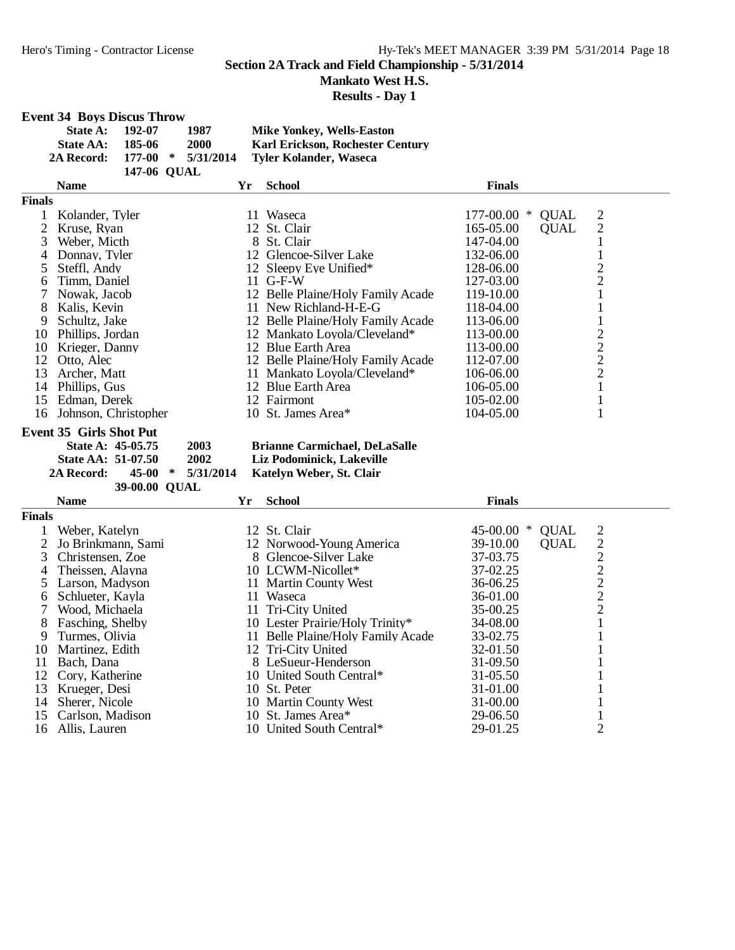# **Mankato West H.S.**

### **Results - Day 1**

### **Event 34 Boys Discus Throw**

| <b>State A: 192-07</b> |             | 1987                   | <b>Mike Yonkey, Wells-Easton</b>        |
|------------------------|-------------|------------------------|-----------------------------------------|
| State AA: 185-06       |             | 2000                   | <b>Karl Erickson, Rochester Century</b> |
| 2A Record:             |             | $177-00$ * $5/31/2014$ | Tyler Kolander, Waseca                  |
|                        | 147-06 OUAL |                        |                                         |

## **Finals**

|               | <b>Name</b>             | Yr  | <b>School</b>                     | <b>Finals</b>                   |                |
|---------------|-------------------------|-----|-----------------------------------|---------------------------------|----------------|
| <b>Finals</b> |                         |     |                                   |                                 |                |
|               | Kolander, Tyler         | 11. | Waseca                            | <b>QUAL</b><br>177-00.00<br>$*$ | 2              |
| 2             | Kruse, Ryan             |     | 12 St. Clair                      | 165-05.00<br><b>OUAL</b>        | $\overline{c}$ |
| 3             | Weber, Micth            | 8   | St. Clair                         | 147-04.00                       |                |
| 4             | Donnay. Tyler           |     | 12 Glencoe-Silver Lake            | 132-06.00                       |                |
|               | Steffl, Andy            |     | 12 Sleepy Eye Unified*            | 128-06.00                       |                |
| 6             | Timm, Daniel            |     | $11$ G-F-W                        | 127-03.00                       |                |
|               | Nowak, Jacob            |     | 12 Belle Plaine/Holy Family Acade | 119-10.00                       |                |
| 8.            | Kalis, Kevin            |     | 11 New Richland-H-E-G             | 118-04.00                       |                |
| 9             | Schultz, Jake           |     | 12 Belle Plaine/Holy Family Acade | 113-06.00                       |                |
| 10            | Phillips, Jordan        |     | 12 Mankato Loyola/Cleveland*      | 113-00.00                       |                |
| 10            | Krieger, Danny          |     | 12 Blue Earth Area                | 113-00.00                       | 2              |
| 12            | Otto, Alec              |     | 12 Belle Plaine/Holy Family Acade | 112-07.00                       |                |
| 13            | Archer, Matt            |     | 11 Mankato Loyola/Cleveland*      | 106-06.00                       | 2              |
| 14            | Phillips, Gus           |     | 12 Blue Earth Area                | 106-05.00                       |                |
| 15            | Edman, Derek            |     | 12 Fairmont                       | 105-02.00                       |                |
| 16            | Johnson, Christopher    |     | 10 St. James Area*                | 104-05.00                       |                |
|               | Event 35 Girls Shot Put |     |                                   |                                 |                |

|                           | State A: 45-05.75 | 2003      | <b>Brianne Carmichael, DeLaSalle</b> |
|---------------------------|-------------------|-----------|--------------------------------------|
| <b>State AA: 51-07.50</b> |                   | 2002      | Liz Podominick, Lakeville            |
| <b>2A Record:</b>         | $45-00$ *         | 5/31/2014 | Katelyn Weber, St. Clair             |

**QUAL39-00.00**

# **Name Yr School Finals**

| Weber, Katelyn     |                                                                             | $45-00.00$ *                                                                                                                                                                                                                                                                                                                                                                                      | 2                          |
|--------------------|-----------------------------------------------------------------------------|---------------------------------------------------------------------------------------------------------------------------------------------------------------------------------------------------------------------------------------------------------------------------------------------------------------------------------------------------------------------------------------------------|----------------------------|
| Jo Brinkmann, Sami |                                                                             | 39-10.00                                                                                                                                                                                                                                                                                                                                                                                          | 2                          |
| Christensen, Zoe   |                                                                             | 37-03.75                                                                                                                                                                                                                                                                                                                                                                                          |                            |
|                    |                                                                             | 37-02.25                                                                                                                                                                                                                                                                                                                                                                                          |                            |
|                    |                                                                             | 36-06.25                                                                                                                                                                                                                                                                                                                                                                                          | $\overline{2}$             |
| Schlueter, Kayla   |                                                                             | 36-01.00                                                                                                                                                                                                                                                                                                                                                                                          | 2                          |
| Wood, Michaela     |                                                                             | 35-00.25                                                                                                                                                                                                                                                                                                                                                                                          |                            |
| Fasching, Shelby   |                                                                             | 34-08.00                                                                                                                                                                                                                                                                                                                                                                                          |                            |
| Turmes, Olivia     |                                                                             | 33-02.75                                                                                                                                                                                                                                                                                                                                                                                          |                            |
| Martinez, Edith    |                                                                             | 32-01.50                                                                                                                                                                                                                                                                                                                                                                                          |                            |
| Bach, Dana         |                                                                             | 31-09.50                                                                                                                                                                                                                                                                                                                                                                                          |                            |
|                    |                                                                             | 31-05.50                                                                                                                                                                                                                                                                                                                                                                                          |                            |
| Krueger, Desi      |                                                                             | 31-01.00                                                                                                                                                                                                                                                                                                                                                                                          |                            |
| Sherer, Nicole     |                                                                             | $31 - 00.00$                                                                                                                                                                                                                                                                                                                                                                                      |                            |
| Carlson, Madison   |                                                                             | 29-06.50                                                                                                                                                                                                                                                                                                                                                                                          |                            |
| Allis, Lauren      |                                                                             | 29-01.25                                                                                                                                                                                                                                                                                                                                                                                          |                            |
|                    | <b>Finals</b><br>4 Theissen, Alayna<br>5 Larson, Madyson<br>Cory, Katherine | 12 St. Clair<br>12 Norwood-Young America<br>Glencoe-Silver Lake<br>8<br>10 LCWM-Nicollet*<br>11 Martin County West<br>11 Waseca<br>11 Tri-City United<br>10 Lester Prairie/Holy Trinity*<br>11 Belle Plaine/Holy Family Acade<br>12 Tri-City United<br>8 LeSueur-Henderson<br>10 United South Central*<br>10 St. Peter<br>10 Martin County West<br>10 St. James Area*<br>10 United South Central* | <b>QUAL</b><br><b>OUAL</b> |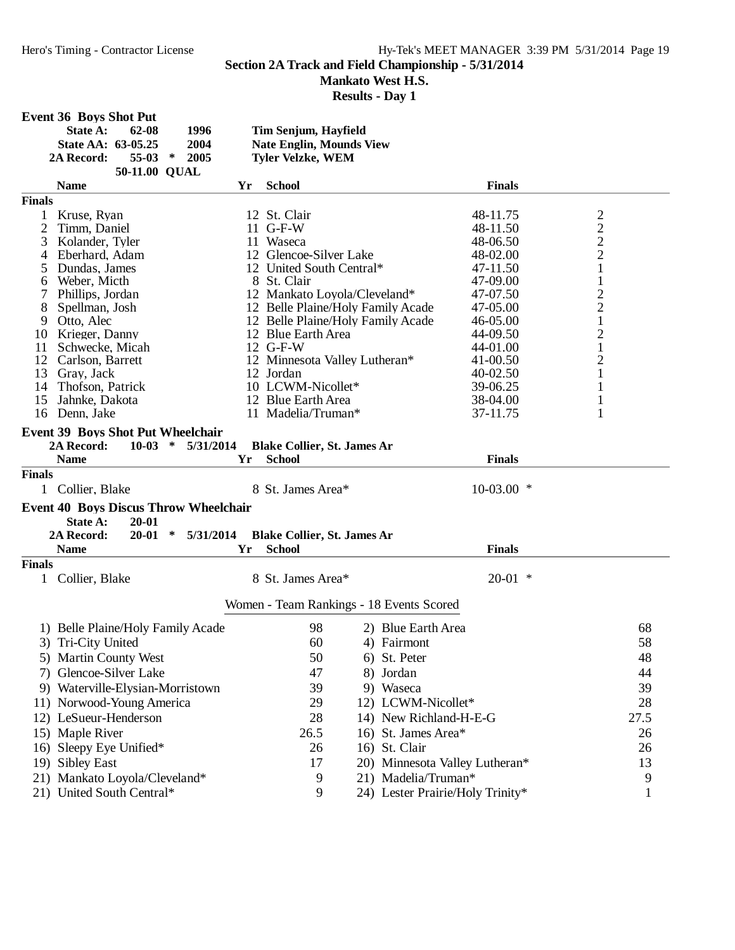## **Mankato West H.S.**

|               | <b>Event 36 Boys Shot Put</b>                |           |                                          |                        |                                  |                |      |
|---------------|----------------------------------------------|-----------|------------------------------------------|------------------------|----------------------------------|----------------|------|
|               | 62-08<br><b>State A:</b>                     | 1996      | Tim Senjum, Hayfield                     |                        |                                  |                |      |
|               | State AA: 63-05.25                           | 2004      | <b>Nate Englin, Mounds View</b>          |                        |                                  |                |      |
|               | 2A Record:<br>$55-03$<br>$\ast$              | 2005      | <b>Tyler Velzke, WEM</b>                 |                        |                                  |                |      |
|               | 50-11.00 QUAL                                |           |                                          |                        |                                  |                |      |
|               | <b>Name</b>                                  | Yr        | <b>School</b>                            |                        | <b>Finals</b>                    |                |      |
| <b>Finals</b> |                                              |           |                                          |                        |                                  |                |      |
| 1             | Kruse, Ryan                                  |           | 12 St. Clair                             |                        | 48-11.75                         | $\overline{c}$ |      |
| 2             | Timm, Daniel                                 |           | 11 G-F-W                                 |                        | 48-11.50                         | $\sqrt{2}$     |      |
| 3             | Kolander, Tyler                              |           | 11 Waseca                                |                        | 48-06.50                         | $\overline{c}$ |      |
| 4             | Eberhard, Adam                               |           | 12 Glencoe-Silver Lake                   |                        | 48-02.00                         | $\overline{c}$ |      |
| 5             | Dundas, James                                |           | 12 United South Central*                 |                        | 47-11.50                         | $\mathbf{1}$   |      |
| 6             | Weber, Micth                                 |           | 8 St. Clair                              |                        | 47-09.00                         | $\mathbf{1}$   |      |
| 7             | Phillips, Jordan                             |           | 12 Mankato Loyola/Cleveland*             |                        | 47-07.50                         | $\overline{c}$ |      |
| 8             | Spellman, Josh                               |           | 12 Belle Plaine/Holy Family Acade        |                        | 47-05.00                         | $\overline{c}$ |      |
| 9             | Otto, Alec                                   |           | 12 Belle Plaine/Holy Family Acade        |                        | 46-05.00                         | $\mathbf{1}$   |      |
| 10            | Krieger, Danny                               |           | 12 Blue Earth Area                       |                        | 44-09.50                         | $\overline{c}$ |      |
| 11            | Schwecke, Micah                              |           | 12 G-F-W                                 |                        | 44-01.00                         | $\mathbf{1}$   |      |
| 12            | Carlson, Barrett                             |           | 12 Minnesota Valley Lutheran*            |                        | 41-00.50                         | $\overline{c}$ |      |
| 13            | Gray, Jack                                   |           | 12 Jordan                                |                        | 40-02.50                         | $\mathbf{1}$   |      |
| 14            | Thofson, Patrick                             |           | 10 LCWM-Nicollet*                        |                        | 39-06.25                         | $\mathbf{1}$   |      |
| 15            | Jahnke, Dakota                               |           | 12 Blue Earth Area                       |                        | 38-04.00                         | $\mathbf{1}$   |      |
|               | 16 Denn, Jake                                |           | 11 Madelia/Truman*                       |                        | 37-11.75                         | 1              |      |
|               | <b>Event 39 Boys Shot Put Wheelchair</b>     |           |                                          |                        |                                  |                |      |
|               | 2A Record:<br>$10-03$ *                      | 5/31/2014 | <b>Blake Collier, St. James Ar</b>       |                        |                                  |                |      |
|               | <b>Name</b>                                  | Yr        | <b>School</b>                            |                        | <b>Finals</b>                    |                |      |
| <b>Finals</b> |                                              |           |                                          |                        |                                  |                |      |
|               | 1 Collier, Blake                             |           | 8 St. James Area*                        |                        | $10-03.00$ *                     |                |      |
|               | <b>Event 40 Boys Discus Throw Wheelchair</b> |           |                                          |                        |                                  |                |      |
|               | <b>State A:</b><br>$20 - 01$                 |           |                                          |                        |                                  |                |      |
|               | 2A Record:<br>$20-01$ *                      | 5/31/2014 | <b>Blake Collier, St. James Ar</b>       |                        |                                  |                |      |
|               | <b>Name</b>                                  | Yr        | <b>School</b>                            |                        | <b>Finals</b>                    |                |      |
| <b>Finals</b> |                                              |           |                                          |                        |                                  |                |      |
| 1             | Collier, Blake                               |           | 8 St. James Area*                        |                        | $20-01$ *                        |                |      |
|               |                                              |           |                                          |                        |                                  |                |      |
|               |                                              |           | Women - Team Rankings - 18 Events Scored |                        |                                  |                |      |
|               | 1) Belle Plaine/Holy Family Acade            |           | 98                                       | 2) Blue Earth Area     |                                  |                | 68   |
|               | 3) Tri-City United                           |           | 60                                       | 4) Fairmont            |                                  |                | 58   |
|               | 5) Martin County West                        |           | 50                                       | 6) St. Peter           |                                  |                | 48   |
|               | 7) Glencoe-Silver Lake                       |           | 47                                       | 8) Jordan              |                                  |                | 44   |
|               |                                              |           |                                          |                        |                                  |                |      |
|               | 9) Waterville-Elysian-Morristown             |           | 39                                       | 9) Waseca              |                                  |                | 39   |
|               | 11) Norwood-Young America                    |           | 29                                       | 12) LCWM-Nicollet*     |                                  |                | 28   |
|               | 12) LeSueur-Henderson                        |           | 28                                       | 14) New Richland-H-E-G |                                  |                | 27.5 |
|               | 15) Maple River                              |           | 26.5                                     | 16) St. James Area*    |                                  |                | 26   |
|               | 16) Sleepy Eye Unified*                      |           | 26                                       | 16) St. Clair          |                                  |                | 26   |
|               | 19) Sibley East                              |           | 17                                       |                        | 20) Minnesota Valley Lutheran*   |                | 13   |
|               | 21) Mankato Loyola/Cleveland*                |           | 9                                        | 21) Madelia/Truman*    |                                  |                | 9    |
|               | 21) United South Central*                    |           | 9                                        |                        | 24) Lester Prairie/Holy Trinity* |                |      |